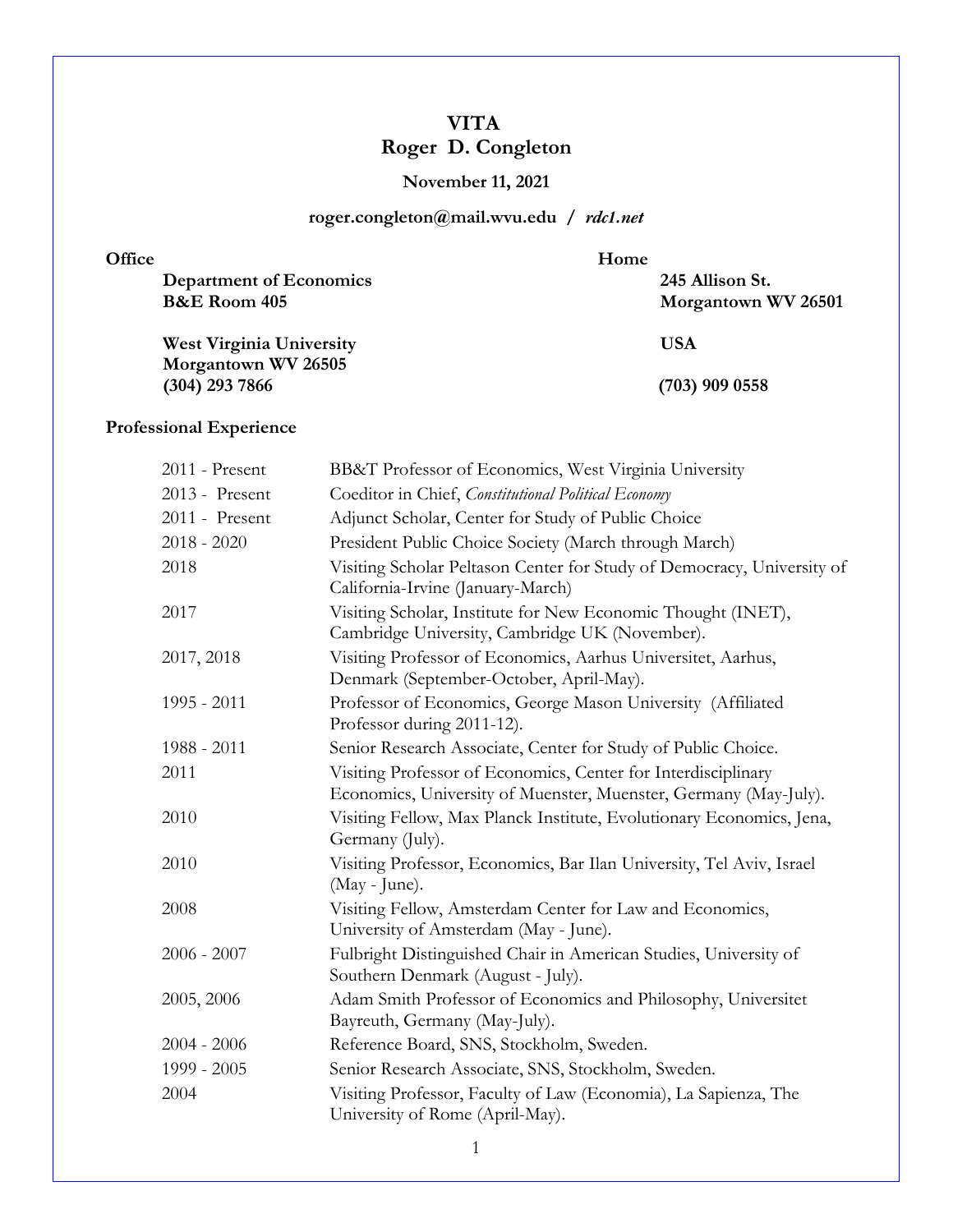# **VITA Roger D. Congleton**

## **November 11, 2021**

## **roger.congleton@mail.wvu.edu /** *rdc1.net*

| Office                          | Home                |  |
|---------------------------------|---------------------|--|
| Department of Economics         | 245 Allison St.     |  |
| <b>B&amp;E</b> Room 405         | Morgantown WV 26501 |  |
| <b>West Virginia University</b> | USA                 |  |
| Morgantown WV 26505             |                     |  |

**(304) 293 7866 (703) 909 0558**

# **Professional Experience**

| 2011 - Present | BB&T Professor of Economics, West Virginia University                                                                             |
|----------------|-----------------------------------------------------------------------------------------------------------------------------------|
| 2013 - Present | Coeditor in Chief, Constitutional Political Economy                                                                               |
| 2011 - Present | Adjunct Scholar, Center for Study of Public Choice                                                                                |
| $2018 - 2020$  | President Public Choice Society (March through March)                                                                             |
| 2018           | Visiting Scholar Peltason Center for Study of Democracy, University of<br>California-Irvine (January-March)                       |
| 2017           | Visiting Scholar, Institute for New Economic Thought (INET),<br>Cambridge University, Cambridge UK (November).                    |
| 2017, 2018     | Visiting Professor of Economics, Aarhus Universitet, Aarhus,<br>Denmark (September-October, April-May).                           |
| 1995 - 2011    | Professor of Economics, George Mason University (Affiliated<br>Professor during 2011-12).                                         |
| 1988 - 2011    | Senior Research Associate, Center for Study of Public Choice.                                                                     |
| 2011           | Visiting Professor of Economics, Center for Interdisciplinary<br>Economics, University of Muenster, Muenster, Germany (May-July). |
| 2010           | Visiting Fellow, Max Planck Institute, Evolutionary Economics, Jena,<br>Germany (July).                                           |
| 2010           | Visiting Professor, Economics, Bar Ilan University, Tel Aviv, Israel<br>(May - June).                                             |
| 2008           | Visiting Fellow, Amsterdam Center for Law and Economics,<br>University of Amsterdam (May - June).                                 |
| $2006 - 2007$  | Fulbright Distinguished Chair in American Studies, University of<br>Southern Denmark (August - July).                             |
| 2005, 2006     | Adam Smith Professor of Economics and Philosophy, Universitet<br>Bayreuth, Germany (May-July).                                    |
| $2004 - 2006$  | Reference Board, SNS, Stockholm, Sweden.                                                                                          |
| 1999 - 2005    | Senior Research Associate, SNS, Stockholm, Sweden.                                                                                |
| 2004           | Visiting Professor, Faculty of Law (Economia), La Sapienza, The<br>University of Rome (April-May).                                |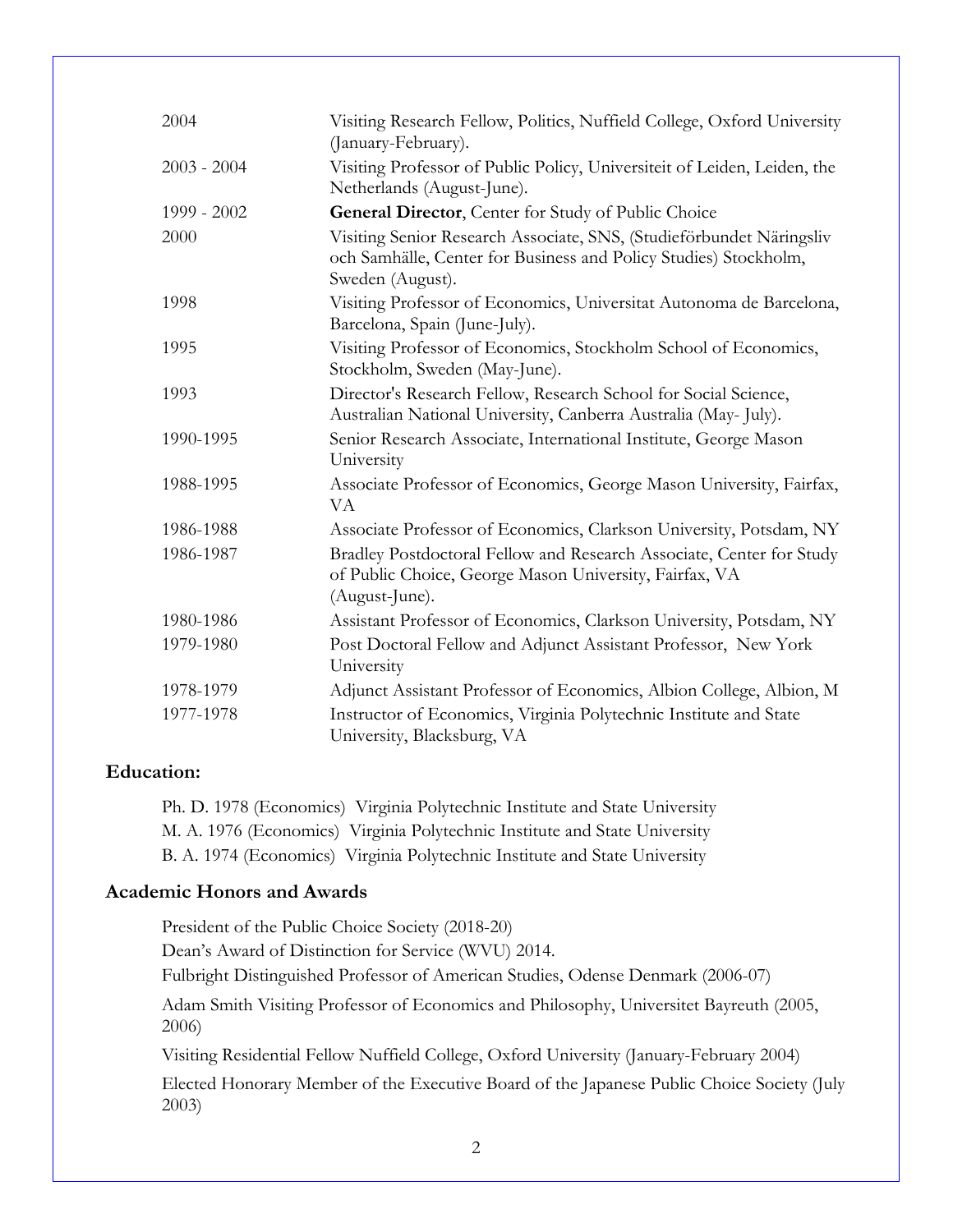| 2004          | Visiting Research Fellow, Politics, Nuffield College, Oxford University<br>(January-February).                                                               |
|---------------|--------------------------------------------------------------------------------------------------------------------------------------------------------------|
| $2003 - 2004$ | Visiting Professor of Public Policy, Universiteit of Leiden, Leiden, the                                                                                     |
|               | Netherlands (August-June).                                                                                                                                   |
| 1999 - 2002   | General Director, Center for Study of Public Choice                                                                                                          |
| 2000          | Visiting Senior Research Associate, SNS, (Studieförbundet Näringsliv<br>och Samhälle, Center for Business and Policy Studies) Stockholm,<br>Sweden (August). |
| 1998          | Visiting Professor of Economics, Universitat Autonoma de Barcelona,<br>Barcelona, Spain (June-July).                                                         |
| 1995          | Visiting Professor of Economics, Stockholm School of Economics,<br>Stockholm, Sweden (May-June).                                                             |
| 1993          | Director's Research Fellow, Research School for Social Science,<br>Australian National University, Canberra Australia (May-July).                            |
| 1990-1995     | Senior Research Associate, International Institute, George Mason<br>University                                                                               |
| 1988-1995     | Associate Professor of Economics, George Mason University, Fairfax,<br>VA                                                                                    |
| 1986-1988     | Associate Professor of Economics, Clarkson University, Potsdam, NY                                                                                           |
| 1986-1987     | Bradley Postdoctoral Fellow and Research Associate, Center for Study<br>of Public Choice, George Mason University, Fairfax, VA<br>(August-June).             |
| 1980-1986     | Assistant Professor of Economics, Clarkson University, Potsdam, NY                                                                                           |
| 1979-1980     | Post Doctoral Fellow and Adjunct Assistant Professor, New York<br>University                                                                                 |
| 1978-1979     | Adjunct Assistant Professor of Economics, Albion College, Albion, M                                                                                          |
| 1977-1978     | Instructor of Economics, Virginia Polytechnic Institute and State<br>University, Blacksburg, VA                                                              |

### **Education:**

Ph. D. 1978 (Economics) Virginia Polytechnic Institute and State University M. A. 1976 (Economics) Virginia Polytechnic Institute and State University B. A. 1974 (Economics) Virginia Polytechnic Institute and State University

#### **Academic Honors and Awards**

President of the Public Choice Society (2018-20) Dean's Award of Distinction for Service (WVU) 2014. Fulbright Distinguished Professor of American Studies, Odense Denmark (2006-07) Adam Smith Visiting Professor of Economics and Philosophy, Universitet Bayreuth (2005, 2006) Visiting Residential Fellow Nuffield College, Oxford University (January-February 2004) Elected Honorary Member of the Executive Board of the Japanese Public Choice Society (July 2003)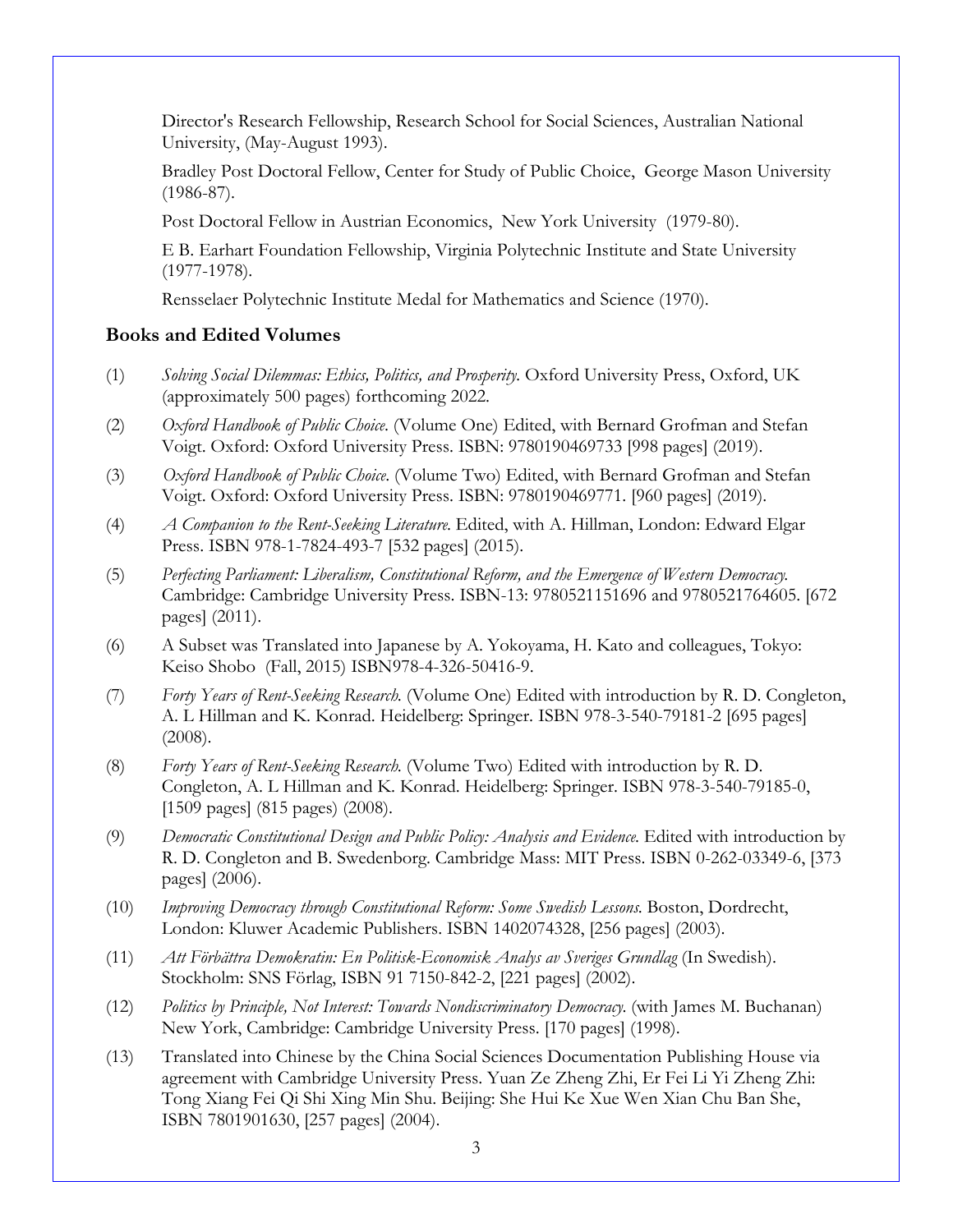Director's Research Fellowship, Research School for Social Sciences, Australian National University, (May-August 1993).

Bradley Post Doctoral Fellow, Center for Study of Public Choice, George Mason University (1986-87).

Post Doctoral Fellow in Austrian Economics, New York University (1979-80).

E B. Earhart Foundation Fellowship, Virginia Polytechnic Institute and State University (1977-1978).

Rensselaer Polytechnic Institute Medal for Mathematics and Science (1970).

### **Books and Edited Volumes**

- (1) *Solving Social Dilemmas: Ethics, Politics, and Prosperity.* Oxford University Press, Oxford, UK (approximately 500 pages) forthcoming 2022.
- (2) *Oxford Handbook of Public Choice*. (Volume One) Edited, with Bernard Grofman and Stefan Voigt. Oxford: Oxford University Press. ISBN: 9780190469733 [998 pages] (2019).
- (3) *Oxford Handbook of Public Choice*. (Volume Two) Edited, with Bernard Grofman and Stefan Voigt. Oxford: Oxford University Press. ISBN: 9780190469771. [960 pages] (2019).
- (4) *A Companion to the Rent-Seeking Literature*. Edited, with A. Hillman, London: Edward Elgar Press. ISBN 978-1-7824-493-7 [532 pages] (2015).
- (5) *Perfecting Parliament: Liberalism, Constitutional Reform, and the Emergence of Western Democracy*. Cambridge: Cambridge University Press. ISBN-13: 9780521151696 and 9780521764605. [672 pages] (2011).
- (6) A Subset was Translated into Japanese by A. Yokoyama, H. Kato and colleagues, Tokyo: Keiso Shobo (Fall, 2015) ISBN978-4-326-50416-9.
- (7) *Forty Years of Rent-Seeking Research*. (Volume One) Edited with introduction by R. D. Congleton, A. L Hillman and K. Konrad. Heidelberg: Springer. ISBN 978-3-540-79181-2 [695 pages] (2008).
- (8) *Forty Years of Rent-Seeking Research*. (Volume Two) Edited with introduction by R. D. Congleton, A. L Hillman and K. Konrad. Heidelberg: Springer. ISBN 978-3-540-79185-0, [1509 pages] (815 pages) (2008).
- (9) *Democratic Constitutional Design and Public Policy: Analysis and Evidence*. Edited with introduction by R. D. Congleton and B. Swedenborg. Cambridge Mass: MIT Press. ISBN 0-262-03349-6, [373 pages] (2006).
- (10) *Improving Democracy through Constitutional Reform: Some Swedish Lessons*. Boston, Dordrecht, London: Kluwer Academic Publishers. ISBN 1402074328, [256 pages] (2003).
- (11) *Att Förbättra Demokratin: En Politisk-Economisk Analys av Sveriges Grundlag* (In Swedish). Stockholm: SNS Förlag, ISBN 91 7150-842-2, [221 pages] (2002).
- (12) *Politics by Principle, Not Interest: Towards Nondiscriminatory Democracy*. (with James M. Buchanan) New York, Cambridge: Cambridge University Press. [170 pages] (1998).
- (13) Translated into Chinese by the China Social Sciences Documentation Publishing House via agreement with Cambridge University Press. Yuan Ze Zheng Zhi, Er Fei Li Yi Zheng Zhi: Tong Xiang Fei Qi Shi Xing Min Shu. Beijing: She Hui Ke Xue Wen Xian Chu Ban She, ISBN 7801901630, [257 pages] (2004).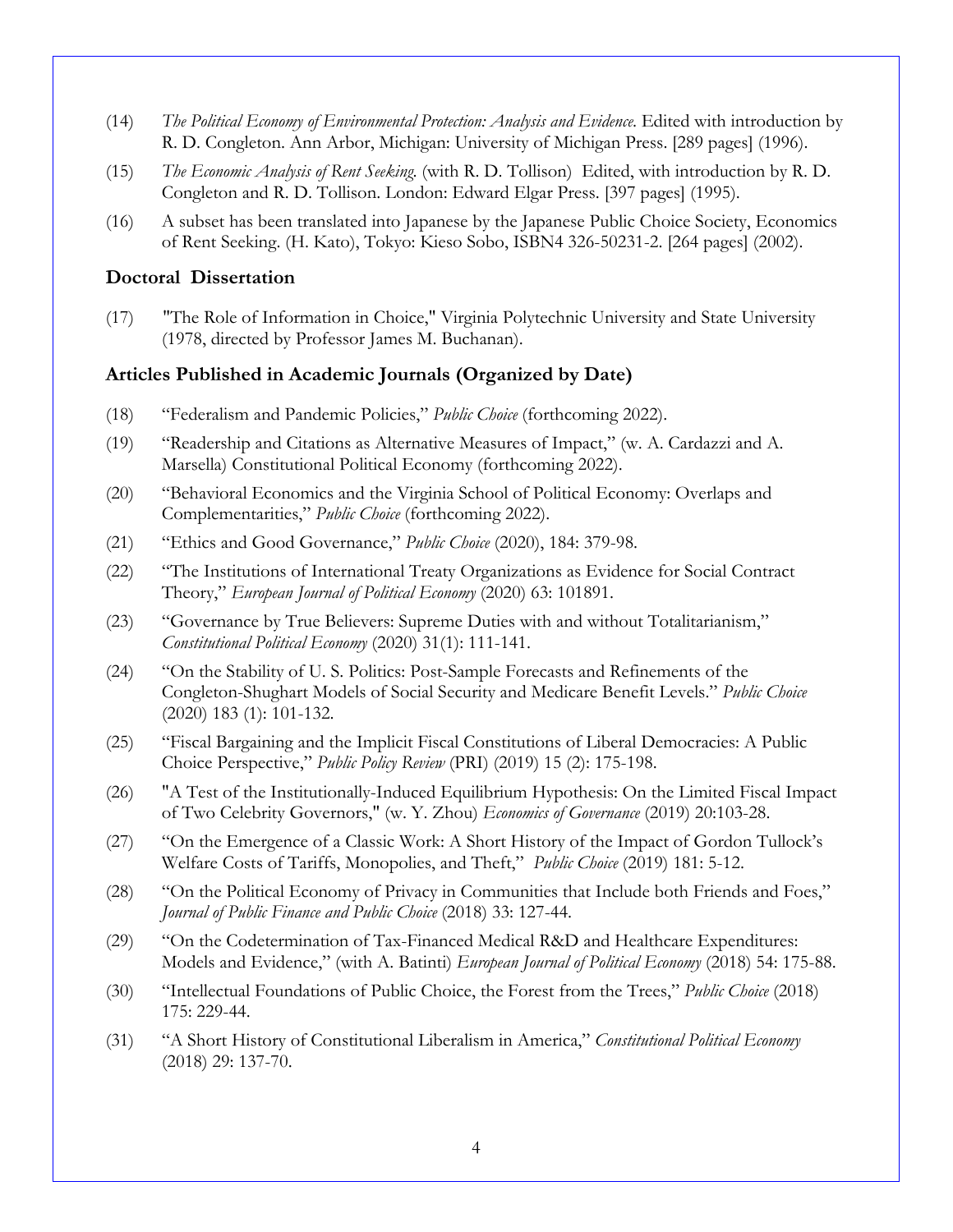- (14) *The Political Economy of Environmental Protection: Analysis and Evidence*. Edited with introduction by R. D. Congleton. Ann Arbor, Michigan: University of Michigan Press. [289 pages] (1996).
- (15) *The Economic Analysis of Rent Seeking*. (with R. D. Tollison) Edited, with introduction by R. D. Congleton and R. D. Tollison. London: Edward Elgar Press. [397 pages] (1995).
- (16) A subset has been translated into Japanese by the Japanese Public Choice Society, Economics of Rent Seeking. (H. Kato), Tokyo: Kieso Sobo, ISBN4 326-50231-2. [264 pages] (2002).

### **Doctoral Dissertation**

(17) "The Role of Information in Choice," Virginia Polytechnic University and State University (1978, directed by Professor James M. Buchanan).

### **Articles Published in Academic Journals (Organized by Date)**

- (18) "Federalism and Pandemic Policies," *Public Choice* (forthcoming 2022).
- (19) "Readership and Citations as Alternative Measures of Impact," (w. A. Cardazzi and A. Marsella) Constitutional Political Economy (forthcoming 2022).
- (20) "Behavioral Economics and the Virginia School of Political Economy: Overlaps and Complementarities," *Public Choice* (forthcoming 2022).
- (21) "Ethics and Good Governance," *Public Choice* (2020), 184: 379-98.
- (22) "The Institutions of International Treaty Organizations as Evidence for Social Contract Theory," *European Journal of Political Economy* (2020) 63: 101891.
- (23) "Governance by True Believers: Supreme Duties with and without Totalitarianism," *Constitutional Political Economy* (2020) 31(1): 111-141.
- (24) "On the Stability of U. S. Politics: Post-Sample Forecasts and Refinements of the Congleton-Shughart Models of Social Security and Medicare Benefit Levels." *Public Choice* (2020) 183 (1): 101-132.
- (25) "Fiscal Bargaining and the Implicit Fiscal Constitutions of Liberal Democracies: A Public Choice Perspective," *Public Policy Review* (PRI) (2019) 15 (2): 175-198.
- (26) "A Test of the Institutionally-Induced Equilibrium Hypothesis: On the Limited Fiscal Impact of Two Celebrity Governors," (w. Y. Zhou) *Economics of Governance* (2019) 20:103-28.
- (27) "On the Emergence of a Classic Work: A Short History of the Impact of Gordon Tullock's Welfare Costs of Tariffs, Monopolies, and Theft," *Public Choice* (2019) 181: 5-12.
- (28) "On the Political Economy of Privacy in Communities that Include both Friends and Foes," *Journal of Public Finance and Public Choice* (2018) 33: 127-44.
- (29) "On the Codetermination of Tax-Financed Medical R&D and Healthcare Expenditures: Models and Evidence," (with A. Batinti) *European Journal of Political Economy* (2018) 54: 175-88.
- (30) "Intellectual Foundations of Public Choice, the Forest from the Trees," *Public Choice* (2018) 175: 229-44.
- (31) "A Short History of Constitutional Liberalism in America," *Constitutional Political Economy* (2018) 29: 137-70.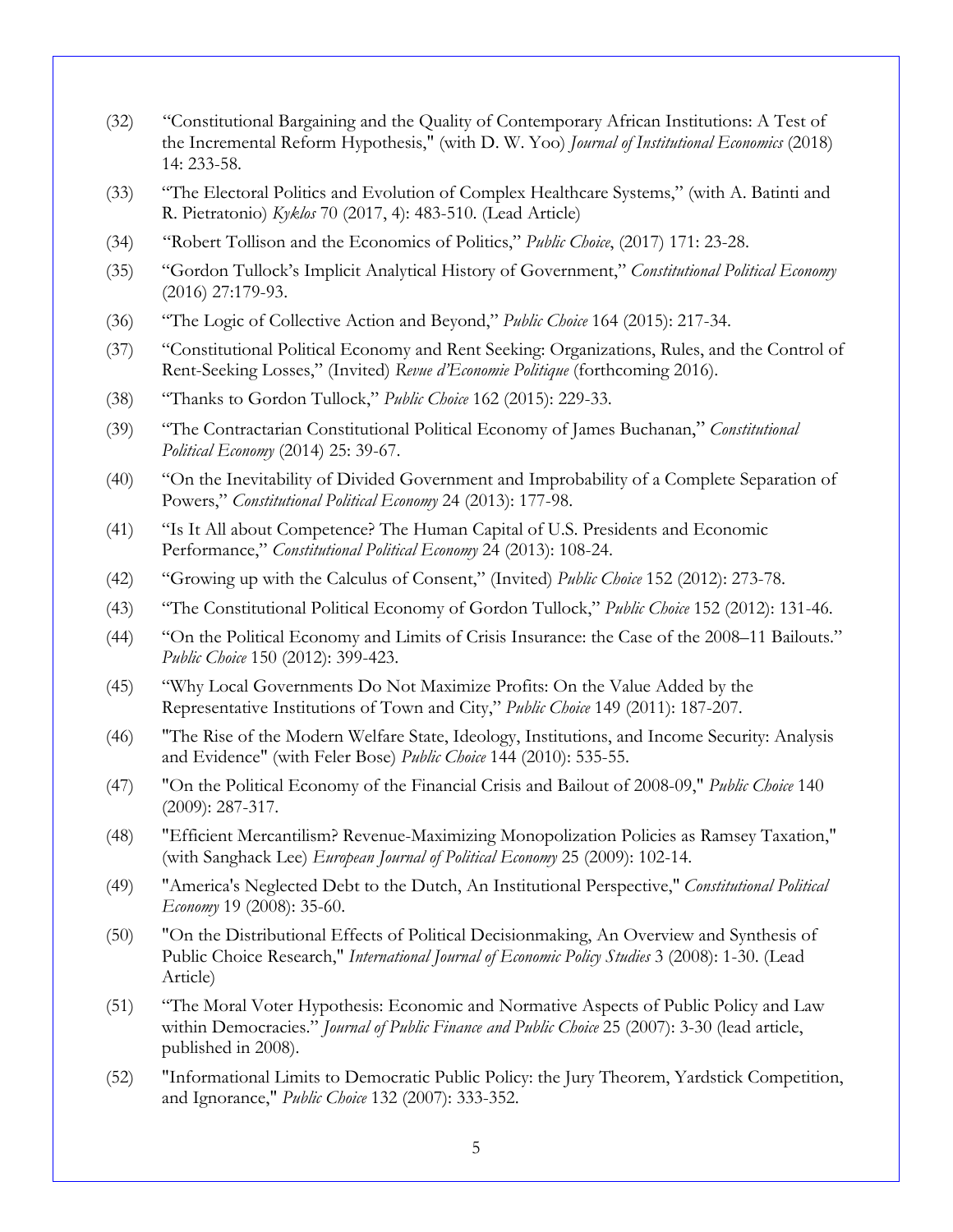- (32) "Constitutional Bargaining and the Quality of Contemporary African Institutions: A Test of the Incremental Reform Hypothesis," (with D. W. Yoo) *Journal of Institutional Economics* (2018) 14: 233-58.
- (33) "The Electoral Politics and Evolution of Complex Healthcare Systems," (with A. Batinti and R. Pietratonio) *Kyklos* 70 (2017, 4): 483-510. (Lead Article)
- (34) "Robert Tollison and the Economics of Politics," *Public Choice*, (2017) 171: 23-28.
- (35) "Gordon Tullock's Implicit Analytical History of Government," *Constitutional Political Economy* (2016) 27:179-93.
- (36) "The Logic of Collective Action and Beyond," *Public Choice* 164 (2015): 217-34.
- (37) "Constitutional Political Economy and Rent Seeking: Organizations, Rules, and the Control of Rent-Seeking Losses," (Invited) *Revue d'Economie Politique* (forthcoming 2016).
- (38) "Thanks to Gordon Tullock," *Public Choice* 162 (2015): 229-33.
- (39) "The Contractarian Constitutional Political Economy of James Buchanan," *Constitutional Political Economy* (2014) 25: 39-67.
- (40) "On the Inevitability of Divided Government and Improbability of a Complete Separation of Powers," *Constitutional Political Economy* 24 (2013): 177-98.
- (41) "Is It All about Competence? The Human Capital of U.S. Presidents and Economic Performance," *Constitutional Political Economy* 24 (2013): 108-24.
- (42) "Growing up with the Calculus of Consent," (Invited) *Public Choice* 152 (2012): 273-78.
- (43) "The Constitutional Political Economy of Gordon Tullock," *Public Choice* 152 (2012): 131-46.
- (44) "On the Political Economy and Limits of Crisis Insurance: the Case of the 2008–11 Bailouts." *Public Choice* 150 (2012): 399-423.
- (45) "Why Local Governments Do Not Maximize Profits: On the Value Added by the Representative Institutions of Town and City," *Public Choice* 149 (2011): 187-207.
- (46) "The Rise of the Modern Welfare State, Ideology, Institutions, and Income Security: Analysis and Evidence" (with Feler Bose) *Public Choice* 144 (2010): 535-55.
- (47) "On the Political Economy of the Financial Crisis and Bailout of 2008-09," *Public Choice* 140 (2009): 287-317.
- (48) "Efficient Mercantilism? Revenue-Maximizing Monopolization Policies as Ramsey Taxation," (with Sanghack Lee) *European Journal of Political Economy* 25 (2009): 102-14.
- (49) "America's Neglected Debt to the Dutch, An Institutional Perspective," *Constitutional Political Economy* 19 (2008): 35-60.
- (50) "On the Distributional Effects of Political Decisionmaking, An Overview and Synthesis of Public Choice Research," *International Journal of Economic Policy Studies* 3 (2008): 1-30. (Lead Article)
- (51) "The Moral Voter Hypothesis: Economic and Normative Aspects of Public Policy and Law within Democracies." *Journal of Public Finance and Public Choice* 25 (2007): 3-30 (lead article, published in 2008).
- (52) "Informational Limits to Democratic Public Policy: the Jury Theorem, Yardstick Competition, and Ignorance," *Public Choice* 132 (2007): 333-352.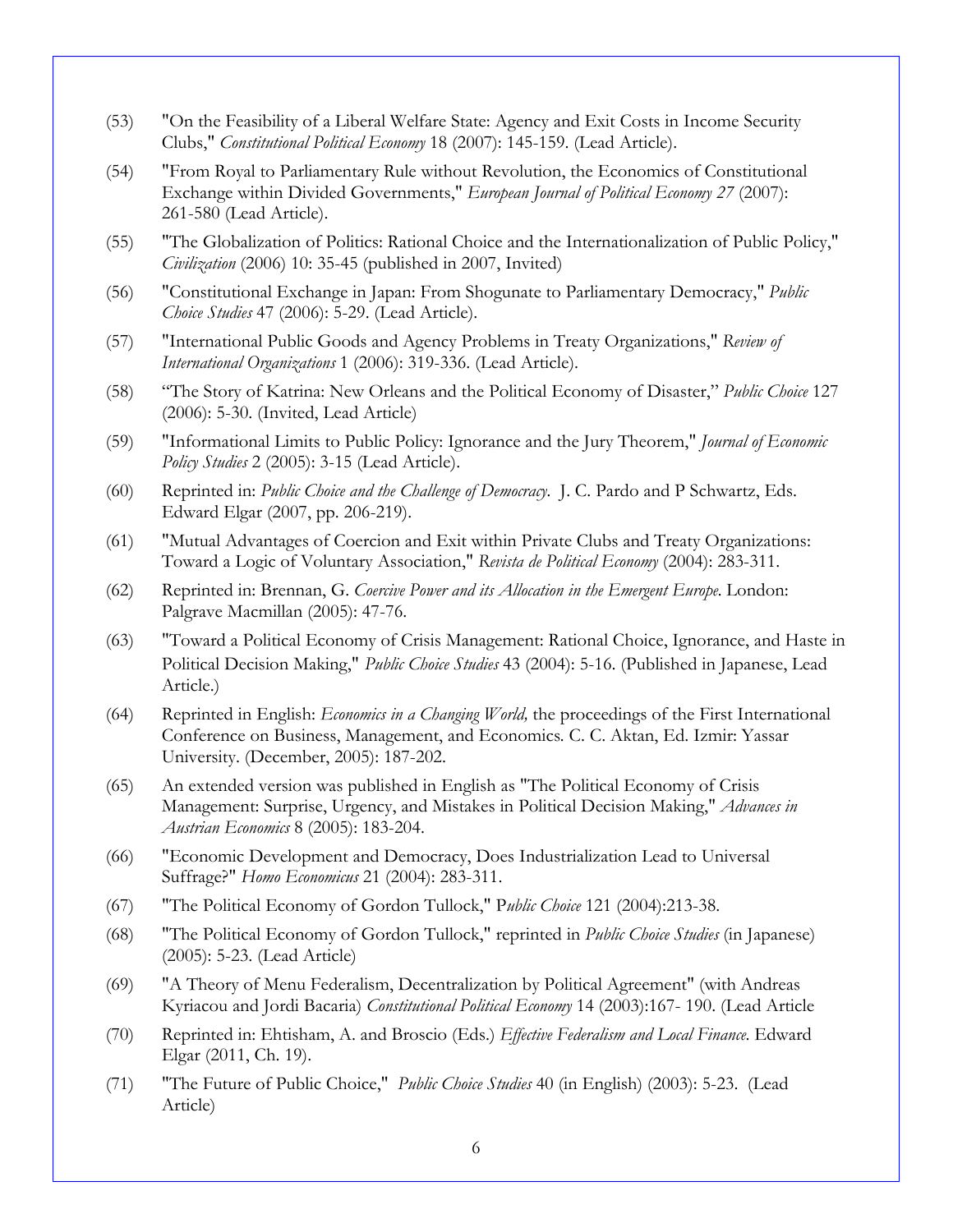- (53) "On the Feasibility of a Liberal Welfare State: Agency and Exit Costs in Income Security Clubs," *Constitutional Political Economy* 18 (2007): 145-159. (Lead Article).
- (54) "From Royal to Parliamentary Rule without Revolution, the Economics of Constitutional Exchange within Divided Governments," *European Journal of Political Economy 27* (2007): 261-580 (Lead Article).
- (55) "The Globalization of Politics: Rational Choice and the Internationalization of Public Policy," *Civilization* (2006) 10: 35-45 (published in 2007, Invited)
- (56) "Constitutional Exchange in Japan: From Shogunate to Parliamentary Democracy," *Public Choice Studies* 47 (2006): 5-29. (Lead Article).
- (57) "International Public Goods and Agency Problems in Treaty Organizations," *Review of International Organizations* 1 (2006): 319-336. (Lead Article).
- (58) "The Story of Katrina: New Orleans and the Political Economy of Disaster," *Public Choice* 127 (2006): 5-30. (Invited, Lead Article)
- (59) "Informational Limits to Public Policy: Ignorance and the Jury Theorem," *Journal of Economic Policy Studies* 2 (2005): 3-15 (Lead Article).
- (60) Reprinted in: *Public Choice and the Challenge of Democracy.* J. C. Pardo and P Schwartz, Eds. Edward Elgar (2007, pp. 206-219).
- (61) "Mutual Advantages of Coercion and Exit within Private Clubs and Treaty Organizations: Toward a Logic of Voluntary Association," *Revista de Political Economy* (2004): 283-311.
- (62) Reprinted in: Brennan, G. *Coercive Power and its Allocation in the Emergent Europe.* London: Palgrave Macmillan (2005): 47-76.
- (63) "Toward a Political Economy of Crisis Management: Rational Choice, Ignorance, and Haste in Political Decision Making," *Public Choice Studies* 43 (2004): 5-16. (Published in Japanese, Lead Article.)
- (64) Reprinted in English: *Economics in a Changing World,* the proceedings of the First International Conference on Business, Management, and Economics*.* C. C. Aktan, Ed. Izmir: Yassar University. (December, 2005): 187-202.
- (65) An extended version was published in English as "The Political Economy of Crisis Management: Surprise, Urgency, and Mistakes in Political Decision Making," *Advances in Austrian Economics* 8 (2005): 183-204.
- (66) "Economic Development and Democracy, Does Industrialization Lead to Universal Suffrage?" *Homo Economicus* 21 (2004): 283-311.
- (67) "The Political Economy of Gordon Tullock," P*ublic Choice* 121 (2004):213-38.
- (68) "The Political Economy of Gordon Tullock," reprinted in *Public Choice Studies* (in Japanese) (2005): 5-23. (Lead Article)
- (69) "A Theory of Menu Federalism, Decentralization by Political Agreement" (with Andreas Kyriacou and Jordi Bacaria) *Constitutional Political Economy* 14 (2003):167- 190. (Lead Article
- (70) Reprinted in: Ehtisham, A. and Broscio (Eds.) *Effective Federalism and Local Finance*. Edward Elgar (2011, Ch. 19).
- (71) "The Future of Public Choice," *Public Choice Studies* 40 (in English) (2003): 5-23. (Lead Article)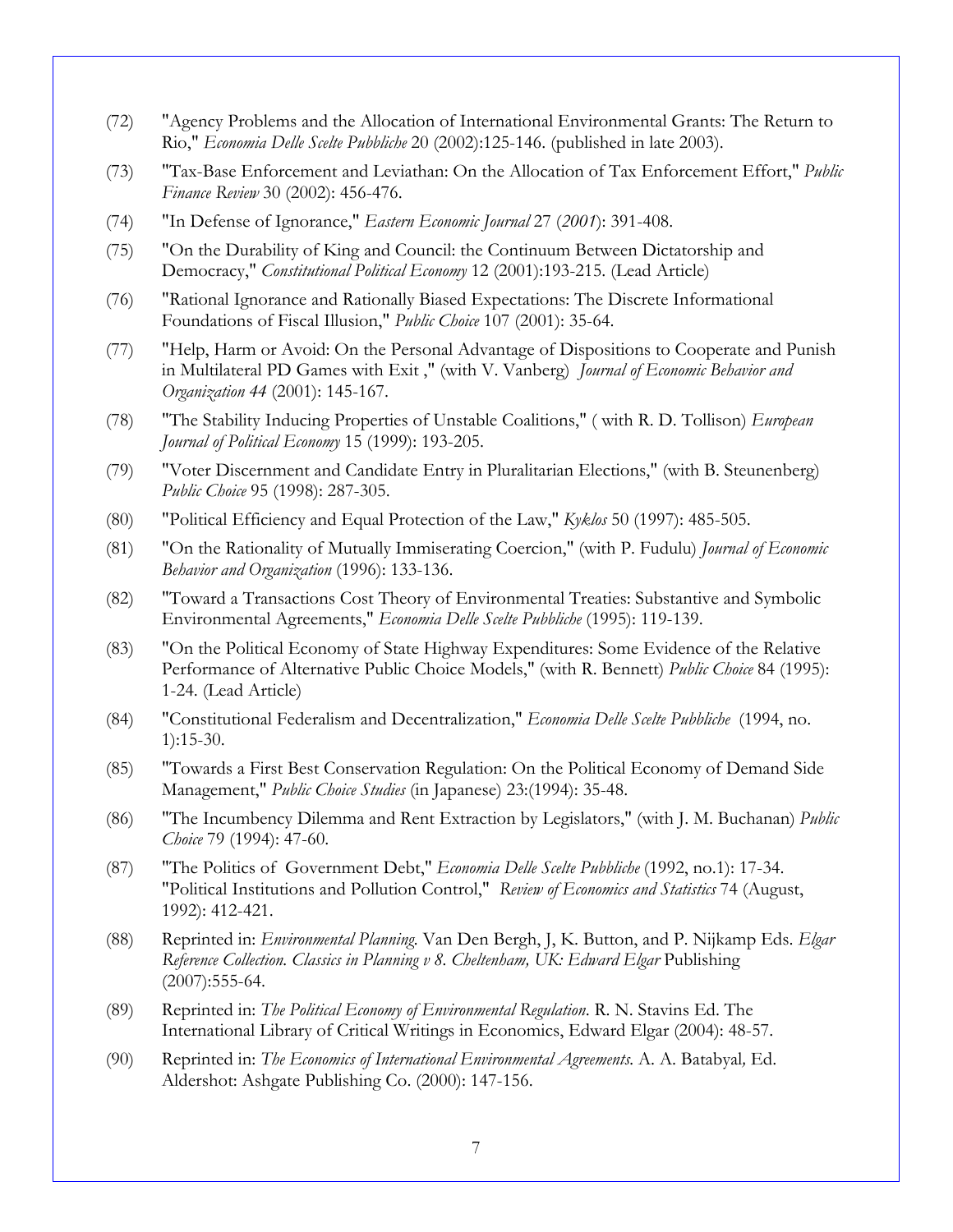- (72) "Agency Problems and the Allocation of International Environmental Grants: The Return to Rio," *Economia Delle Scelte Pubbliche* 20 (2002):125-146. (published in late 2003).
- (73) "Tax-Base Enforcement and Leviathan: On the Allocation of Tax Enforcement Effort," *Public Finance Review* 30 (2002): 456-476.
- (74) "In Defense of Ignorance," *Eastern Economic Journal* 27 (*2001*): 391-408.
- (75) "On the Durability of King and Council: the Continuum Between Dictatorship and Democracy," *Constitutional Political Economy* 12 (2001):193-215. (Lead Article)
- (76) "Rational Ignorance and Rationally Biased Expectations: The Discrete Informational Foundations of Fiscal Illusion," *Public Choice* 107 (2001): 35-64.
- (77) "Help, Harm or Avoid: On the Personal Advantage of Dispositions to Cooperate and Punish in Multilateral PD Games with Exit ," (with V. Vanberg) *Journal of Economic Behavior and Organization 44* (2001): 145-167.
- (78) "The Stability Inducing Properties of Unstable Coalitions," ( with R. D. Tollison) *European Journal of Political Economy* 15 (1999): 193-205.
- (79) "Voter Discernment and Candidate Entry in Pluralitarian Elections," (with B. Steunenberg) *Public Choice* 95 (1998): 287-305.
- (80) "Political Efficiency and Equal Protection of the Law," *Kyklos* 50 (1997): 485-505.
- (81) "On the Rationality of Mutually Immiserating Coercion," (with P. Fudulu) *Journal of Economic Behavior and Organization* (1996): 133-136.
- (82) "Toward a Transactions Cost Theory of Environmental Treaties: Substantive and Symbolic Environmental Agreements," *Economia Delle Scelte Pubbliche* (1995): 119-139.
- (83) "On the Political Economy of State Highway Expenditures: Some Evidence of the Relative Performance of Alternative Public Choice Models," (with R. Bennett) *Public Choice* 84 (1995): 1-24. (Lead Article)
- (84) "Constitutional Federalism and Decentralization," *Economia Delle Scelte Pubbliche* (1994, no. 1):15-30.
- (85) "Towards a First Best Conservation Regulation: On the Political Economy of Demand Side Management," *Public Choice Studies* (in Japanese) 23:(1994): 35-48.
- (86) "The Incumbency Dilemma and Rent Extraction by Legislators," (with J. M. Buchanan) *Public Choice* 79 (1994): 47-60.
- (87) "The Politics of Government Debt," *Economia Delle Scelte Pubbliche* (1992, no.1): 17-34. "Political Institutions and Pollution Control," *Review of Economics and Statistics* 74 (August, 1992): 412-421.
- (88) Reprinted in: *Environmental Planning.* Van Den Bergh, J, K. Button, and P. Nijkamp Eds. *Elgar Reference Collection. Classics in Planning v 8. Cheltenham, UK: Edward Elgar* Publishing  $(2007):555-64.$
- (89) Reprinted in: *The Political Economy of Environmental Regulation*. R. N. Stavins Ed. The International Library of Critical Writings in Economics, Edward Elgar (2004): 48-57.
- (90) Reprinted in: *The Economics of International Environmental Agreements.* A. A. Batabyal*,* Ed. Aldershot: Ashgate Publishing Co. (2000): 147-156.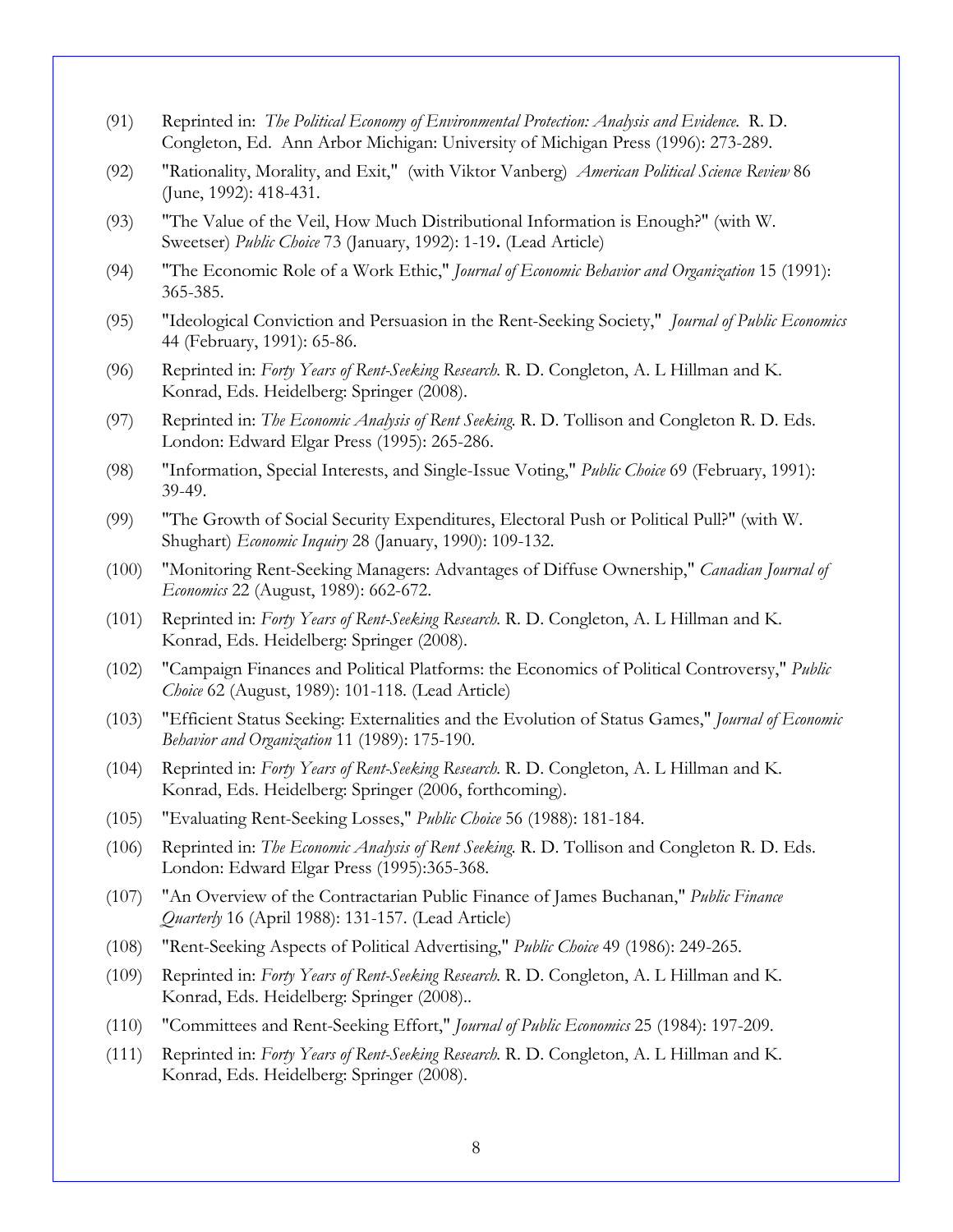- (91) Reprinted in: *The Political Economy of Environmental Protection: Analysis and Evidence.* R. D. Congleton, Ed. Ann Arbor Michigan: University of Michigan Press (1996): 273-289.
- (92) "Rationality, Morality, and Exit," (with Viktor Vanberg) *American Political Science Review* 86 (June, 1992): 418-431.
- (93) "The Value of the Veil, How Much Distributional Information is Enough?" (with W. Sweetser) *Public Choice* 73 (January, 1992): 1-19**.** (Lead Article)
- (94) "The Economic Role of a Work Ethic," *Journal of Economic Behavior and Organization* 15 (1991): 365-385.
- (95) "Ideological Conviction and Persuasion in the Rent-Seeking Society," *Journal of Public Economics* 44 (February, 1991): 65-86.
- (96) Reprinted in: *Forty Years of Rent-Seeking Research.* R. D. Congleton, A. L Hillman and K. Konrad, Eds. Heidelberg: Springer (2008).
- (97) Reprinted in: *The Economic Analysis of Rent Seeking.* R. D. Tollison and Congleton R. D. Eds. London: Edward Elgar Press (1995): 265-286.
- (98) "Information, Special Interests, and Single-Issue Voting," *Public Choice* 69 (February, 1991): 39-49.
- (99) "The Growth of Social Security Expenditures, Electoral Push or Political Pull?" (with W. Shughart) *Economic Inquiry* 28 (January, 1990): 109-132.
- (100) "Monitoring Rent-Seeking Managers: Advantages of Diffuse Ownership," *Canadian Journal of Economics* 22 (August, 1989): 662-672.
- (101) Reprinted in: *Forty Years of Rent-Seeking Research.* R. D. Congleton, A. L Hillman and K. Konrad, Eds. Heidelberg: Springer (2008).
- (102) "Campaign Finances and Political Platforms: the Economics of Political Controversy," *Public Choice* 62 (August, 1989): 101-118. (Lead Article)
- (103) "Efficient Status Seeking: Externalities and the Evolution of Status Games," *Journal of Economic Behavior and Organization* 11 (1989): 175-190.
- (104) Reprinted in: *Forty Years of Rent-Seeking Research.* R. D. Congleton, A. L Hillman and K. Konrad, Eds. Heidelberg: Springer (2006, forthcoming).
- (105) "Evaluating Rent-Seeking Losses," *Public Choice* 56 (1988): 181-184.
- (106) Reprinted in: *The Economic Analysis of Rent Seeking.* R. D. Tollison and Congleton R. D. Eds. London: Edward Elgar Press (1995):365-368.
- (107) "An Overview of the Contractarian Public Finance of James Buchanan," *Public Finance Quarterly* 16 (April 1988): 131-157. (Lead Article)
- (108) "Rent-Seeking Aspects of Political Advertising," *Public Choice* 49 (1986): 249-265.
- (109) Reprinted in: *Forty Years of Rent-Seeking Research.* R. D. Congleton, A. L Hillman and K. Konrad, Eds. Heidelberg: Springer (2008)..
- (110) "Committees and Rent-Seeking Effort," *Journal of Public Economics* 25 (1984): 197-209.
- (111) Reprinted in: *Forty Years of Rent-Seeking Research.* R. D. Congleton, A. L Hillman and K. Konrad, Eds. Heidelberg: Springer (2008).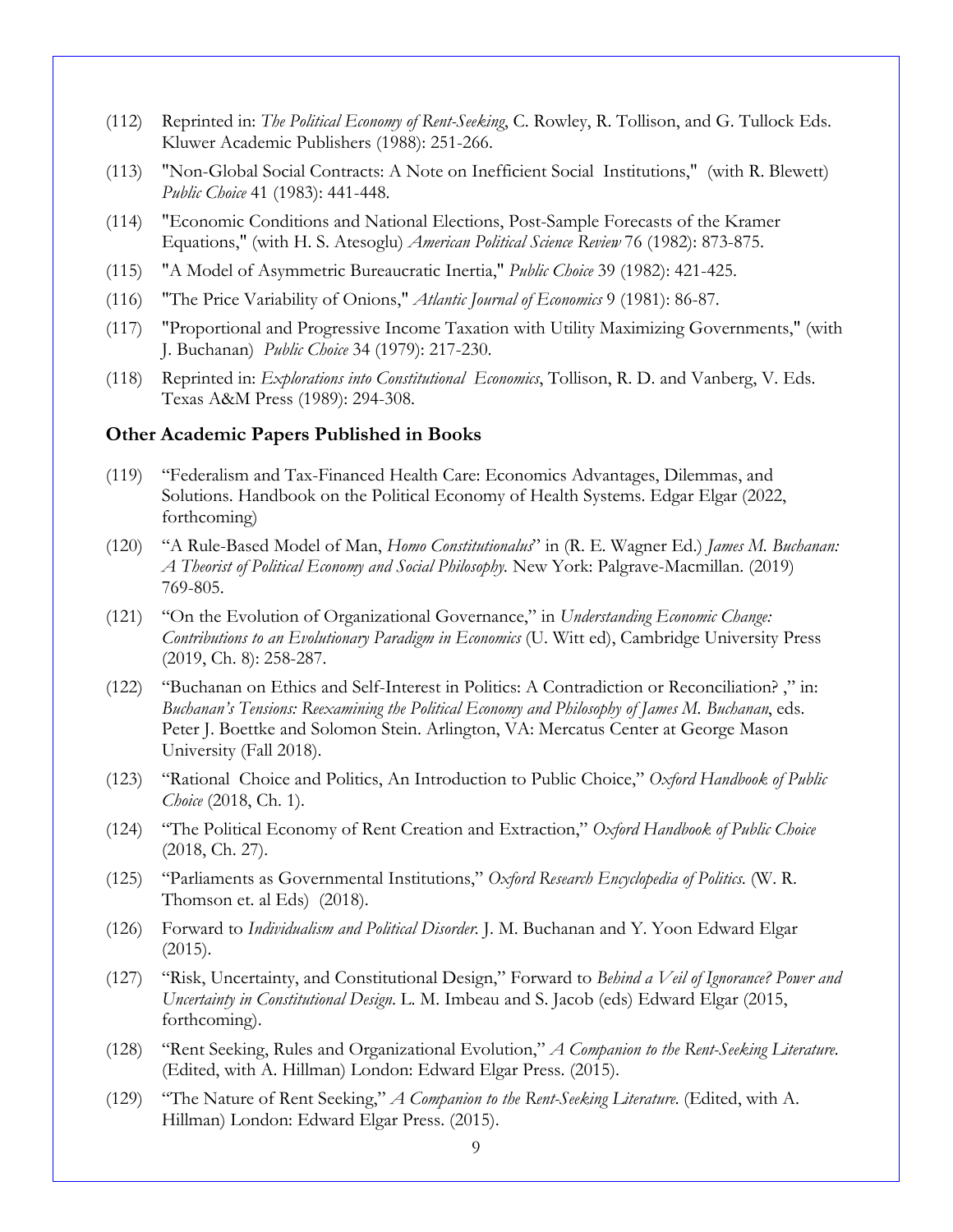- (112) Reprinted in: *The Political Economy of Rent-Seeking*, C. Rowley, R. Tollison, and G. Tullock Eds. Kluwer Academic Publishers (1988): 251-266.
- (113) "Non-Global Social Contracts: A Note on Inefficient Social Institutions," (with R. Blewett) *Public Choice* 41 (1983): 441-448.
- (114) "Economic Conditions and National Elections, Post-Sample Forecasts of the Kramer Equations," (with H. S. Atesoglu) *American Political Science Review* 76 (1982): 873-875.
- (115) "A Model of Asymmetric Bureaucratic Inertia," *Public Choice* 39 (1982): 421-425.
- (116) "The Price Variability of Onions," *Atlantic Journal of Economics* 9 (1981): 86-87.
- (117) "Proportional and Progressive Income Taxation with Utility Maximizing Governments," (with J. Buchanan) *Public Choice* 34 (1979): 217-230.
- (118) Reprinted in: *Explorations into Constitutional Economics*, Tollison, R. D. and Vanberg, V. Eds. Texas A&M Press (1989): 294-308.

### **Other Academic Papers Published in Books**

- (119) "Federalism and Tax-Financed Health Care: Economics Advantages, Dilemmas, and Solutions. Handbook on the Political Economy of Health Systems. Edgar Elgar (2022, forthcoming)
- (120) "A Rule-Based Model of Man, *Homo Constitutionalus*" in (R. E. Wagner Ed.) *James M. Buchanan: A Theorist of Political Economy and Social Philosophy.* New York: Palgrave-Macmillan. (2019) 769-805.
- (121) "On the Evolution of Organizational Governance," in *Understanding Economic Change: Contributions to an Evolutionary Paradigm in Economics* (U. Witt ed), Cambridge University Press (2019, Ch. 8): 258-287.
- (122) "Buchanan on Ethics and Self-Interest in Politics: A Contradiction or Reconciliation? ," in: *Buchanan's Tensions: Reexamining the Political Economy and Philosophy of James M. Buchanan*, eds. Peter J. Boettke and Solomon Stein. Arlington, VA: Mercatus Center at George Mason University (Fall 2018).
- (123) "Rational Choice and Politics, An Introduction to Public Choice," *Oxford Handbook of Public Choice* (2018, Ch. 1).
- (124) "The Political Economy of Rent Creation and Extraction," *Oxford Handbook of Public Choice* (2018, Ch. 27).
- (125) "Parliaments as Governmental Institutions," *Oxford Research Encyclopedia of Politics*. (W. R. Thomson et. al Eds) (2018).
- (126) Forward to *Individualism and Political Disorder.* J. M. Buchanan and Y. Yoon Edward Elgar (2015).
- (127) "Risk, Uncertainty, and Constitutional Design," Forward to *Behind a Veil of Ignorance? Power and Uncertainty in Constitutional Design*. L. M. Imbeau and S. Jacob (eds) Edward Elgar (2015, forthcoming).
- (128) "Rent Seeking, Rules and Organizational Evolution," *A Companion to the Rent-Seeking Literature.* (Edited, with A. Hillman) London: Edward Elgar Press. (2015).
- (129) "The Nature of Rent Seeking," *A Companion to the Rent-Seeking Literature.* (Edited, with A. Hillman) London: Edward Elgar Press. (2015).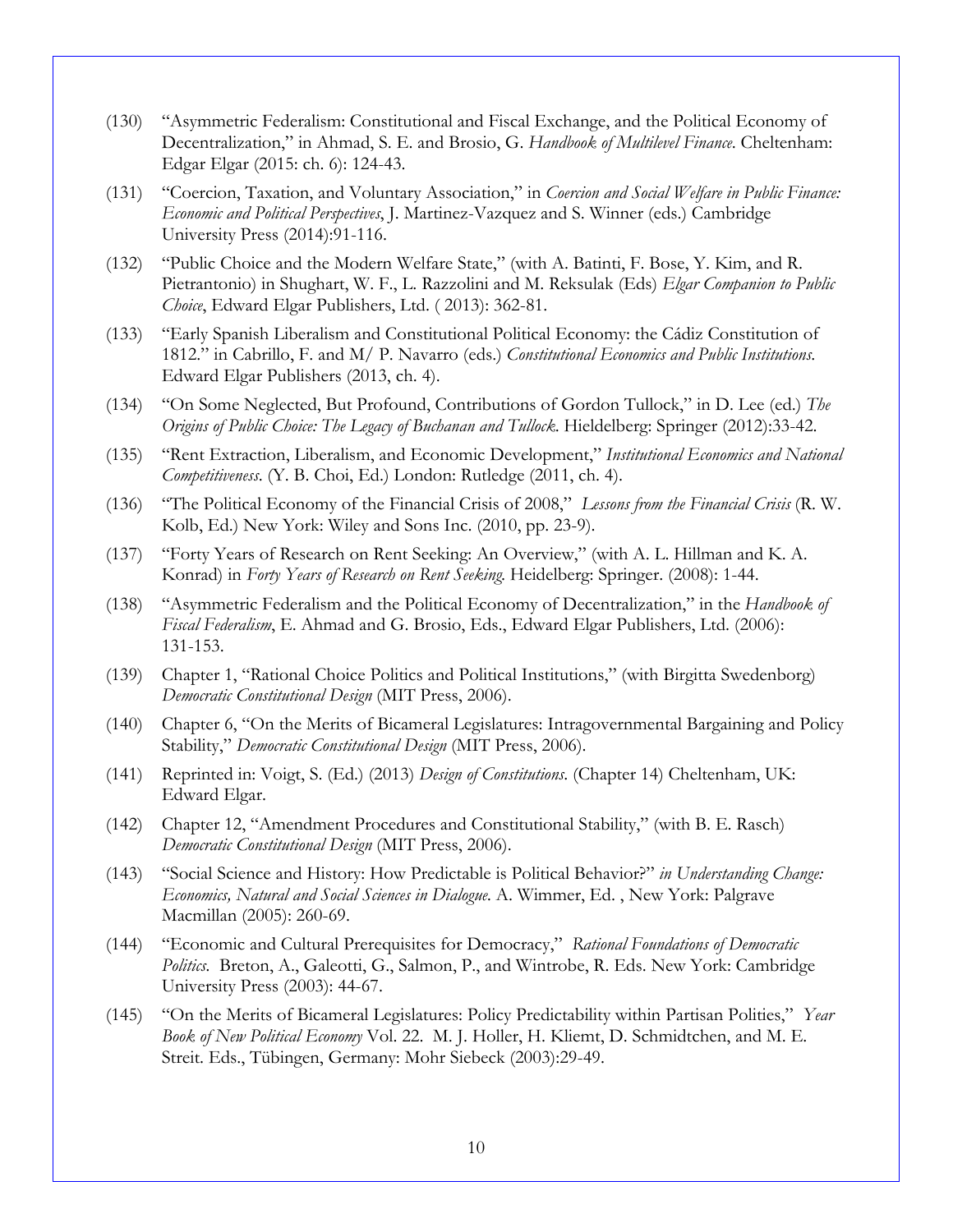- (130) "Asymmetric Federalism: Constitutional and Fiscal Exchange, and the Political Economy of Decentralization," in Ahmad, S. E. and Brosio, G. *Handbook of Multilevel Finance*. Cheltenham: Edgar Elgar (2015: ch. 6): 124-43.
- (131) "Coercion, Taxation, and Voluntary Association," in *Coercion and Social Welfare in Public Finance: Economic and Political Perspectives*, J. Martinez-Vazquez and S. Winner (eds.) Cambridge University Press (2014):91-116.
- (132) "Public Choice and the Modern Welfare State," (with A. Batinti, F. Bose, Y. Kim, and R. Pietrantonio) in Shughart, W. F., L. Razzolini and M. Reksulak (Eds) *Elgar Companion to Public Choice*, Edward Elgar Publishers, Ltd. ( 2013): 362-81.
- (133) "Early Spanish Liberalism and Constitutional Political Economy: the Cádiz Constitution of 1812." in Cabrillo, F. and M/ P. Navarro (eds.) *Constitutional Economics and Public Institutions*. Edward Elgar Publishers (2013, ch. 4).
- (134) "On Some Neglected, But Profound, Contributions of Gordon Tullock," in D. Lee (ed.) *The Origins of Public Choice: The Legacy of Buchanan and Tullock*. Hieldelberg: Springer (2012):33-42.
- (135) "Rent Extraction, Liberalism, and Economic Development," *Institutional Economics and National Competitiveness*. (Y. B. Choi, Ed.) London: Rutledge (2011, ch. 4).
- (136) "The Political Economy of the Financial Crisis of 2008," *Lessons from the Financial Crisis* (R. W. Kolb, Ed.) New York: Wiley and Sons Inc. (2010, pp. 23-9).
- (137) "Forty Years of Research on Rent Seeking: An Overview," (with A. L. Hillman and K. A. Konrad) in *Forty Years of Research on Rent Seeking*. Heidelberg: Springer. (2008): 1-44.
- (138) "Asymmetric Federalism and the Political Economy of Decentralization," in the *Handbook of Fiscal Federalism*, E. Ahmad and G. Brosio, Eds., Edward Elgar Publishers, Ltd. (2006): 131-153.
- (139) Chapter 1, "Rational Choice Politics and Political Institutions," (with Birgitta Swedenborg) *Democratic Constitutional Design* (MIT Press, 2006).
- (140) Chapter 6, "On the Merits of Bicameral Legislatures: Intragovernmental Bargaining and Policy Stability," *Democratic Constitutional Design* (MIT Press, 2006).
- (141) Reprinted in: Voigt, S. (Ed.) (2013) *Design of Constitutions*. (Chapter 14) Cheltenham, UK: Edward Elgar.
- (142) Chapter 12, "Amendment Procedures and Constitutional Stability," (with B. E. Rasch) *Democratic Constitutional Design* (MIT Press, 2006).
- (143) "Social Science and History: How Predictable is Political Behavior?" *in Understanding Change: Economics, Natural and Social Sciences in Dialogue.* A. Wimmer, Ed. , New York: Palgrave Macmillan (2005): 260-69.
- (144) "Economic and Cultural Prerequisites for Democracy," *Rational Foundations of Democratic Politics.* Breton, A., Galeotti, G., Salmon, P., and Wintrobe, R. Eds. New York: Cambridge University Press (2003): 44-67.
- (145) "On the Merits of Bicameral Legislatures: Policy Predictability within Partisan Polities," *Year Book of New Political Economy* Vol. 22. M. J. Holler, H. Kliemt, D. Schmidtchen, and M. E. Streit. Eds., Tübingen, Germany: Mohr Siebeck (2003):29-49.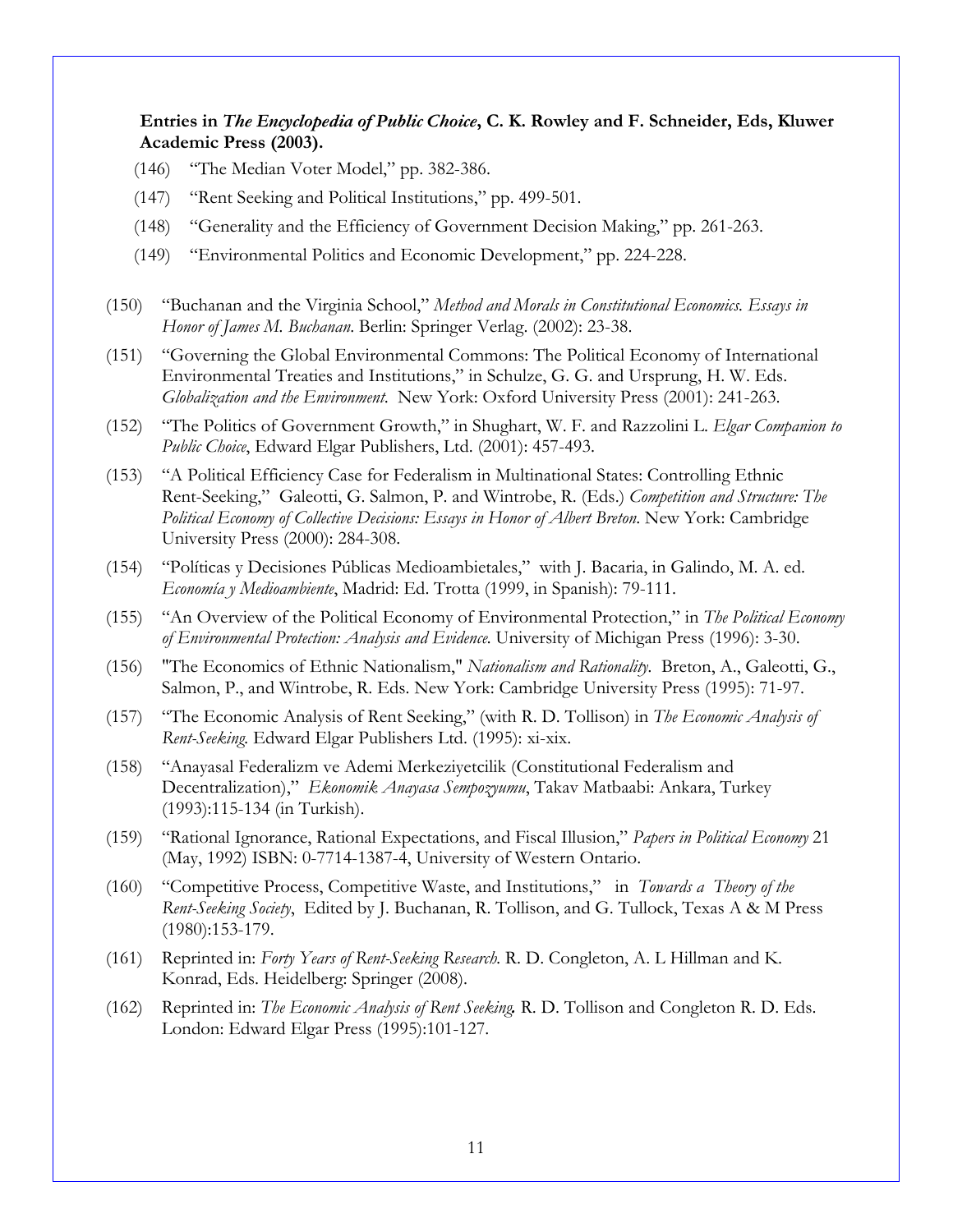**Entries in** *The Encyclopedia of Public Choice***, C. K. Rowley and F. Schneider, Eds, Kluwer Academic Press (2003).** 

- (146) "The Median Voter Model," pp. 382-386.
- (147) "Rent Seeking and Political Institutions," pp. 499-501.
- (148) "Generality and the Efficiency of Government Decision Making," pp. 261-263.
- (149) "Environmental Politics and Economic Development," pp. 224-228.
- (150) "Buchanan and the Virginia School," *Method and Morals in Constitutional Economics. Essays in Honor of James M. Buchanan*. Berlin: Springer Verlag. (2002): 23-38.
- (151) "Governing the Global Environmental Commons: The Political Economy of International Environmental Treaties and Institutions," in Schulze, G. G. and Ursprung, H. W. Eds. *Globalization and the Environment*. New York: Oxford University Press (2001): 241-263.
- (152) "The Politics of Government Growth," in Shughart, W. F. and Razzolini L. *Elgar Companion to Public Choice*, Edward Elgar Publishers, Ltd. (2001): 457-493.
- (153) "A Political Efficiency Case for Federalism in Multinational States: Controlling Ethnic Rent-Seeking," Galeotti, G. Salmon, P. and Wintrobe, R. (Eds.) *Competition and Structure: The Political Economy of Collective Decisions: Essays in Honor of Albert Breton*. New York: Cambridge University Press (2000): 284-308.
- (154) "Políticas y Decisiones Públicas Medioambietales," with J. Bacaria, in Galindo, M. A. ed. *Economía y Medioambiente*, Madrid: Ed. Trotta (1999, in Spanish): 79-111.
- (155) "An Overview of the Political Economy of Environmental Protection," in *The Political Economy of Environmental Protection: Analysis and Evidence.* University of Michigan Press (1996): 3-30.
- (156) "The Economics of Ethnic Nationalism," *Nationalism and Rationality.* Breton, A., Galeotti, G., Salmon, P., and Wintrobe, R. Eds. New York: Cambridge University Press (1995): 71-97.
- (157) "The Economic Analysis of Rent Seeking," (with R. D. Tollison) in *The Economic Analysis of Rent-Seeking.* Edward Elgar Publishers Ltd. (1995): xi-xix.
- (158) "Anayasal Federalizm ve Ademi Merkeziyetcilik (Constitutional Federalism and Decentralization)," *Ekonomik Anayasa Sempozyumu*, Takav Matbaabi: Ankara, Turkey (1993):115-134 (in Turkish).
- (159) "Rational Ignorance, Rational Expectations, and Fiscal Illusion," *Papers in Political Economy* 21 (May, 1992) ISBN: 0-7714-1387-4, University of Western Ontario.
- (160) "Competitive Process, Competitive Waste, and Institutions," in *Towards a Theory of the Rent-Seeking Society*, Edited by J. Buchanan, R. Tollison, and G. Tullock, Texas A & M Press (1980):153-179.
- (161) Reprinted in: *Forty Years of Rent-Seeking Research.* R. D. Congleton, A. L Hillman and K. Konrad, Eds. Heidelberg: Springer (2008).
- (162) Reprinted in: *The Economic Analysis of Rent Seeking.* R. D. Tollison and Congleton R. D. Eds. London: Edward Elgar Press (1995):101-127.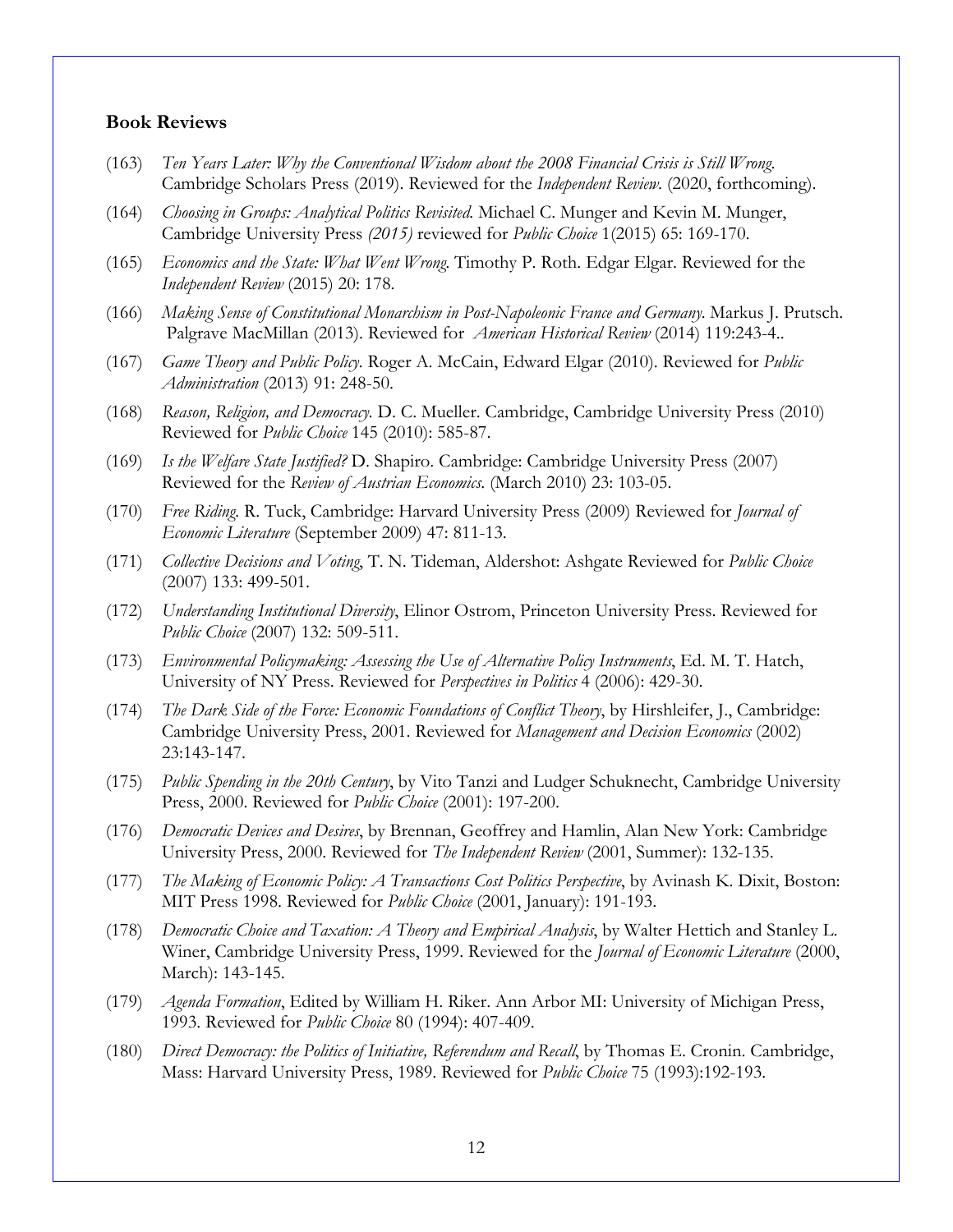#### **Book Reviews**

- (163) *Ten Years Later: Why the Conventional Wisdom about the 2008 Financial Crisis is Still Wrong.* Cambridge Scholars Press (2019). Reviewed for the *Independent Review*. (2020, forthcoming).
- (164) *Choosing in Groups: Analytical Politics Revisited.* Michael C. Munger and Kevin M. Munger, Cambridge University Press *(2015)* reviewed for *Public Choice* 1(2015) 65: 169-170.
- (165) *Economics and the State: What Went Wrong.* Timothy P. Roth. Edgar Elgar. Reviewed for the *Independent Review* (2015) 20: 178.
- (166) *Making Sense of Constitutional Monarchism in Post-Napoleonic France and Germany.* Markus J. Prutsch. Palgrave MacMillan (2013). Reviewed for *American Historical Review* (2014) 119:243-4..
- (167) *Game Theory and Public Policy.* Roger A. McCain, Edward Elgar (2010). Reviewed for *Public Administration* (2013) 91: 248-50.
- (168) *Reason, Religion, and Democracy.* D. C. Mueller. Cambridge, Cambridge University Press (2010) Reviewed for *Public Choice* 145 (2010): 585-87.
- (169) *Is the Welfare State Justified?* D. Shapiro. Cambridge: Cambridge University Press (2007) Reviewed for the *Review of Austrian Economics*. (March 2010) 23: 103-05.
- (170) *Free Riding.* R. Tuck, Cambridge: Harvard University Press (2009) Reviewed for *Journal of Economic Literature* (September 2009) 47: 811-13.
- (171) *Collective Decisions and Voting*, T. N. Tideman, Aldershot: Ashgate Reviewed for *Public Choice* (2007) 133: 499-501.
- (172) *Understanding Institutional Diversity*, Elinor Ostrom, Princeton University Press. Reviewed for *Public Choice* (2007) 132: 509-511.
- (173) *Environmental Policymaking: Assessing the Use of Alternative Policy Instruments*, Ed. M. T. Hatch, University of NY Press. Reviewed for *Perspectives in Politics* 4 (2006): 429-30.
- (174) *The Dark Side of the Force: Economic Foundations of Conflict Theory*, by Hirshleifer, J., Cambridge: Cambridge University Press, 2001. Reviewed for *Management and Decision Economics* (2002) 23:143-147.
- (175) *Public Spending in the 20th Century*, by Vito Tanzi and Ludger Schuknecht, Cambridge University Press, 2000. Reviewed for *Public Choice* (2001): 197-200.
- (176) *Democratic Devices and Desires*, by Brennan, Geoffrey and Hamlin, Alan New York: Cambridge University Press, 2000. Reviewed for *The Independent Review* (2001, Summer): 132-135.
- (177) *The Making of Economic Policy: A Transactions Cost Politics Perspective*, by Avinash K. Dixit, Boston: MIT Press 1998. Reviewed for *Public Choice* (2001, January): 191-193.
- (178) *Democratic Choice and Taxation: A Theory and Empirical Analysis*, by Walter Hettich and Stanley L. Winer, Cambridge University Press, 1999. Reviewed for the *Journal of Economic Literature* (2000, March): 143-145.
- (179) *Agenda Formation*, Edited by William H. Riker. Ann Arbor MI: University of Michigan Press, 1993. Reviewed for *Public Choice* 80 (1994): 407-409.
- (180) *Direct Democracy: the Politics of Initiative, Referendum and Recall*, by Thomas E. Cronin. Cambridge, Mass: Harvard University Press, 1989. Reviewed for *Public Choice* 75 (1993):192-193.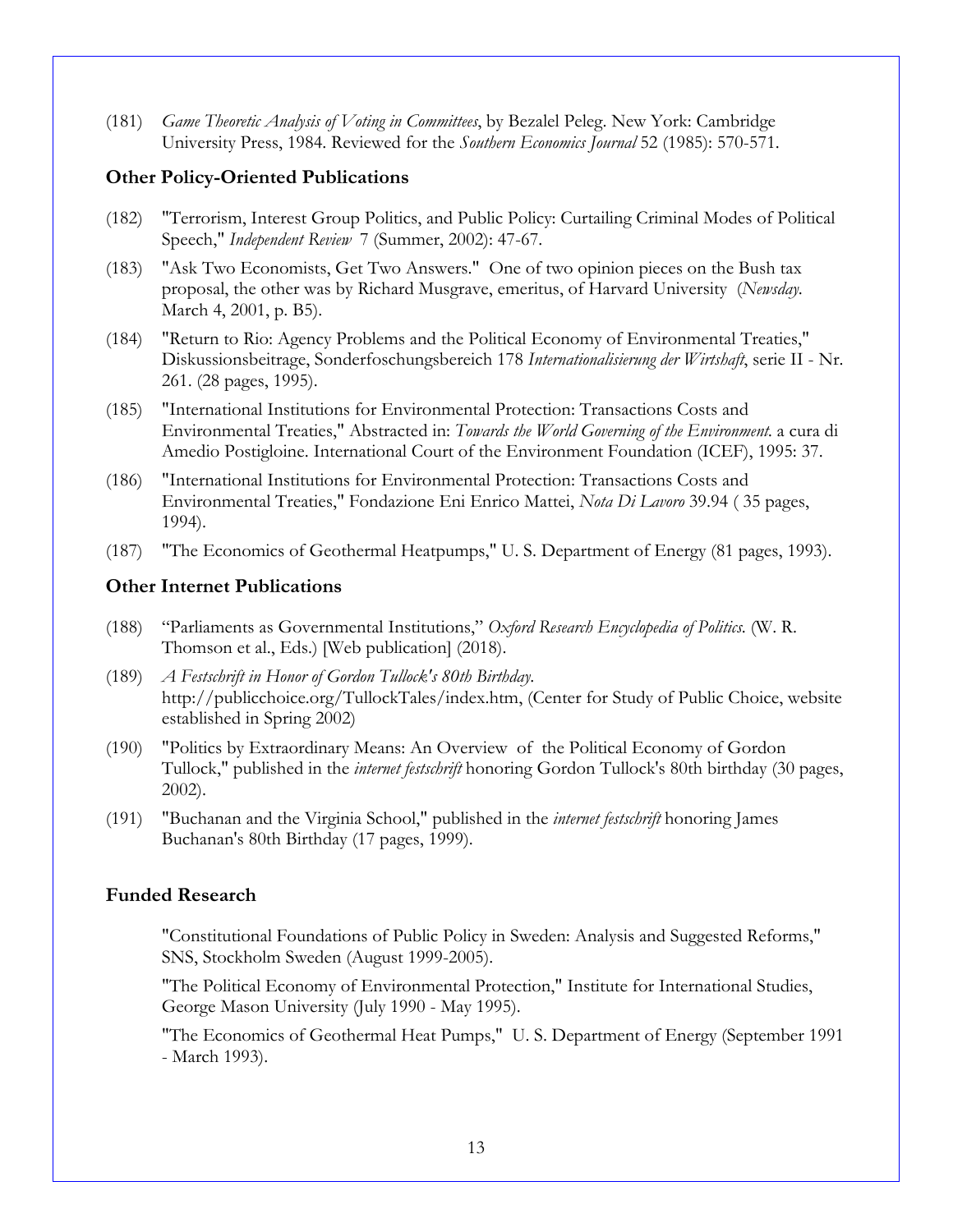(181) *Game Theoretic Analysis of Voting in Committees*, by Bezalel Peleg. New York: Cambridge University Press, 1984. Reviewed for the *Southern Economics Journal* 52 (1985): 570-571.

### **Other Policy-Oriented Publications**

- (182) "Terrorism, Interest Group Politics, and Public Policy: Curtailing Criminal Modes of Political Speech," *Independent Review* 7 (Summer, 2002): 47-67.
- (183) "Ask Two Economists, Get Two Answers." One of two opinion pieces on the Bush tax proposal, the other was by Richard Musgrave, emeritus, of Harvard University (*Newsday*. March 4, 2001, p. B5).
- (184) "Return to Rio: Agency Problems and the Political Economy of Environmental Treaties," Diskussionsbeitrage, Sonderfoschungsbereich 178 *Internationalisierung der Wirtshaft*, serie II - Nr. 261. (28 pages, 1995).
- (185) "International Institutions for Environmental Protection: Transactions Costs and Environmental Treaties," Abstracted in: *Towards the World Governing of the Environment.* a cura di Amedio Postigloine. International Court of the Environment Foundation (ICEF), 1995: 37.
- (186) "International Institutions for Environmental Protection: Transactions Costs and Environmental Treaties," Fondazione Eni Enrico Mattei, *Nota Di Lavoro* 39.94 ( 35 pages, 1994).
- (187) "The Economics of Geothermal Heatpumps," U. S. Department of Energy (81 pages, 1993).

### **Other Internet Publications**

- (188) "Parliaments as Governmental Institutions," *Oxford Research Encyclopedia of Politics*. (W. R. Thomson et al., Eds.) [Web publication] (2018).
- (189) *A Festschrift in Honor of Gordon Tullock's 80th Birthday*. http://publicchoice.org/TullockTales/index.htm, (Center for Study of Public Choice, website established in Spring 2002)
- (190) "Politics by Extraordinary Means: An Overview of the Political Economy of Gordon Tullock," published in the *internet festschrift* honoring Gordon Tullock's 80th birthday (30 pages, 2002).
- (191) "Buchanan and the Virginia School," published in the *internet festschrift* honoring James Buchanan's 80th Birthday (17 pages, 1999).

### **Funded Research**

"Constitutional Foundations of Public Policy in Sweden: Analysis and Suggested Reforms," SNS, Stockholm Sweden (August 1999-2005).

"The Political Economy of Environmental Protection," Institute for International Studies, George Mason University (July 1990 - May 1995).

"The Economics of Geothermal Heat Pumps," U. S. Department of Energy (September 1991 - March 1993).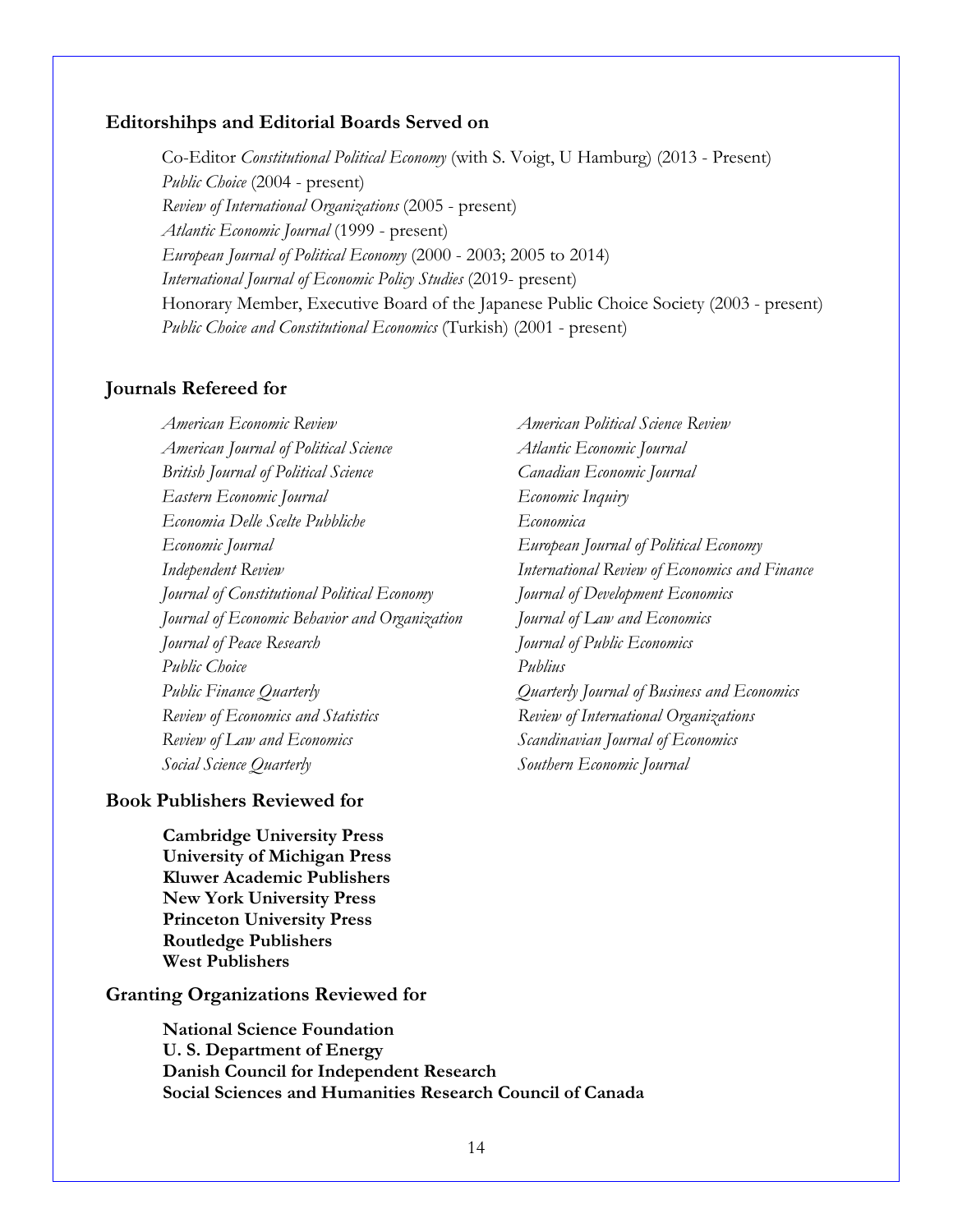#### **Editorshihps and Editorial Boards Served on**

Co-Editor *Constitutional Political Economy* (with S. Voigt, U Hamburg) (2013 - Present) *Public Choice* (2004 - present) *Review of International Organizations* (2005 - present) *Atlantic Economic Journal* (1999 - present) *European Journal of Political Economy* (2000 - 2003; 2005 to 2014) *International Journal of Economic Policy Studies* (2019- present) Honorary Member, Executive Board of the Japanese Public Choice Society (2003 - present) *Public Choice and Constitutional Economics* (Turkish) (2001 - present)

### **Journals Refereed for**

*American Economic Review American Political Science Review American Journal of Political Science Atlantic Economic Journal British Journal of Political Science Canadian Economic Journal Eastern Economic Journal Economic Inquiry Economia Delle Scelte Pubbliche Economica Economic Journal European Journal of Political Economy Independent Review International Review of Economics and Finance Journal of Constitutional Political Economy Journal of Development Economics Journal of Economic Behavior and Organization Journal of Law and Economics Journal of Peace Research Journal of Public Economics Public Choice Publius Public Finance Quarterly Quarterly Journal of Business and Economics Review of Economics and Statistics Review of International Organizations Review of Law and Economics Scandinavian Journal of Economics Social Science Quarterly Southern Economic Journal* 

#### **Book Publishers Reviewed for**

**Cambridge University Press University of Michigan Press Kluwer Academic Publishers New York University Press Princeton University Press Routledge Publishers West Publishers**

#### **Granting Organizations Reviewed for**

**National Science Foundation U. S. Department of Energy Danish Council for Independent Research Social Sciences and Humanities Research Council of Canada**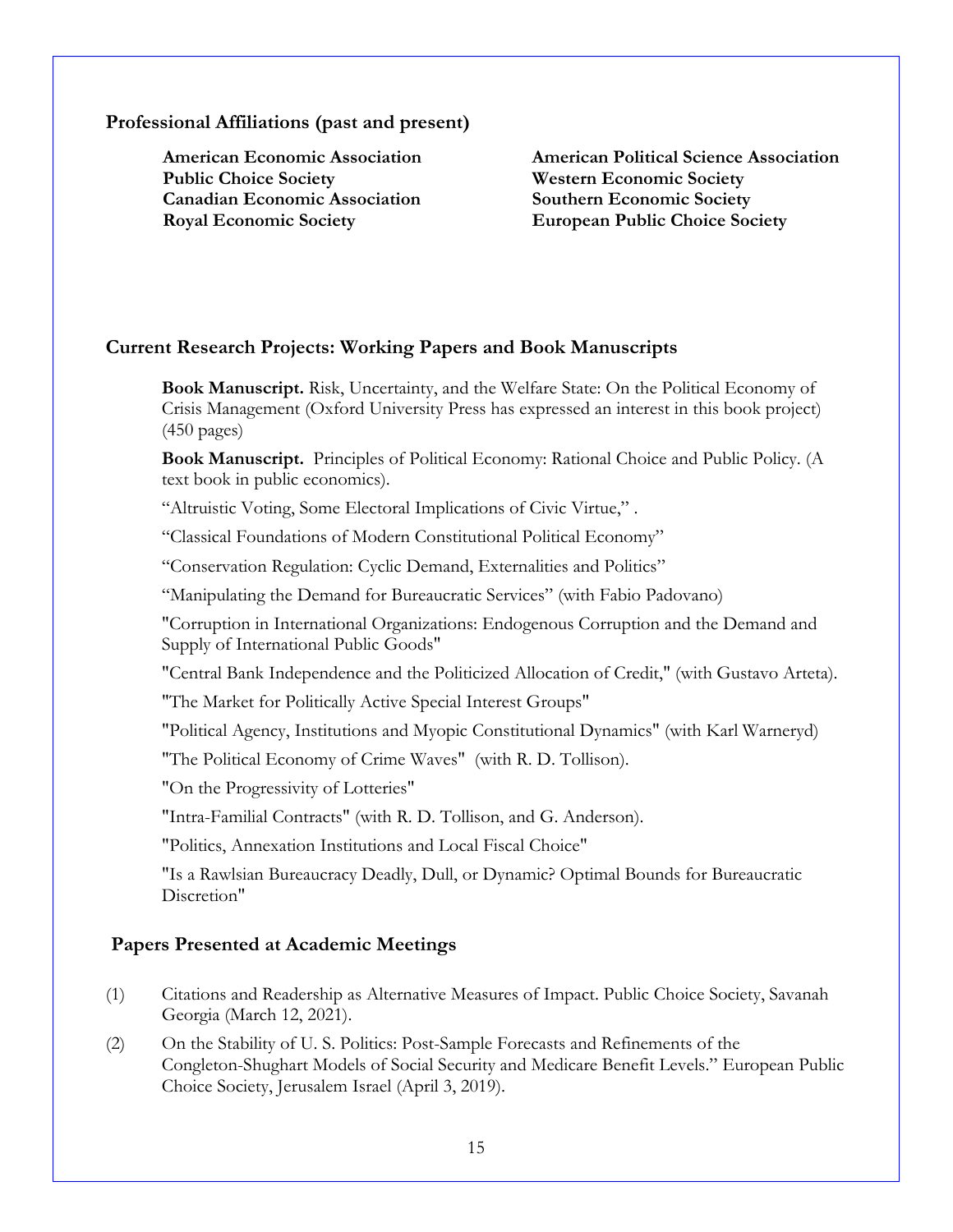#### **Professional Affiliations (past and present)**

**Public Choice Society Western Economic Society Canadian Economic Association Southern Economic Society Royal Economic Society European Public Choice Society**

**American Economic Association American Political Science Association**

### **Current Research Projects: Working Papers and Book Manuscripts**

**Book Manuscript.** Risk, Uncertainty, and the Welfare State: On the Political Economy of Crisis Management (Oxford University Press has expressed an interest in this book project)  $(450 \text{ pages})$ 

**Book Manuscript.** Principles of Political Economy: Rational Choice and Public Policy. (A text book in public economics).

"Altruistic Voting, Some Electoral Implications of Civic Virtue," .

"Classical Foundations of Modern Constitutional Political Economy"

"Conservation Regulation: Cyclic Demand, Externalities and Politics"

"Manipulating the Demand for Bureaucratic Services" (with Fabio Padovano)

"Corruption in International Organizations: Endogenous Corruption and the Demand and Supply of International Public Goods"

"Central Bank Independence and the Politicized Allocation of Credit," (with Gustavo Arteta).

"The Market for Politically Active Special Interest Groups"

"Political Agency, Institutions and Myopic Constitutional Dynamics" (with Karl Warneryd)

"The Political Economy of Crime Waves" (with R. D. Tollison).

"On the Progressivity of Lotteries"

"Intra-Familial Contracts" (with R. D. Tollison, and G. Anderson).

"Politics, Annexation Institutions and Local Fiscal Choice"

"Is a Rawlsian Bureaucracy Deadly, Dull, or Dynamic? Optimal Bounds for Bureaucratic Discretion"

### **Papers Presented at Academic Meetings**

- (1) Citations and Readership as Alternative Measures of Impact. Public Choice Society, Savanah Georgia (March 12, 2021).
- (2) On the Stability of U. S. Politics: Post-Sample Forecasts and Refinements of the Congleton-Shughart Models of Social Security and Medicare Benefit Levels." European Public Choice Society, Jerusalem Israel (April 3, 2019).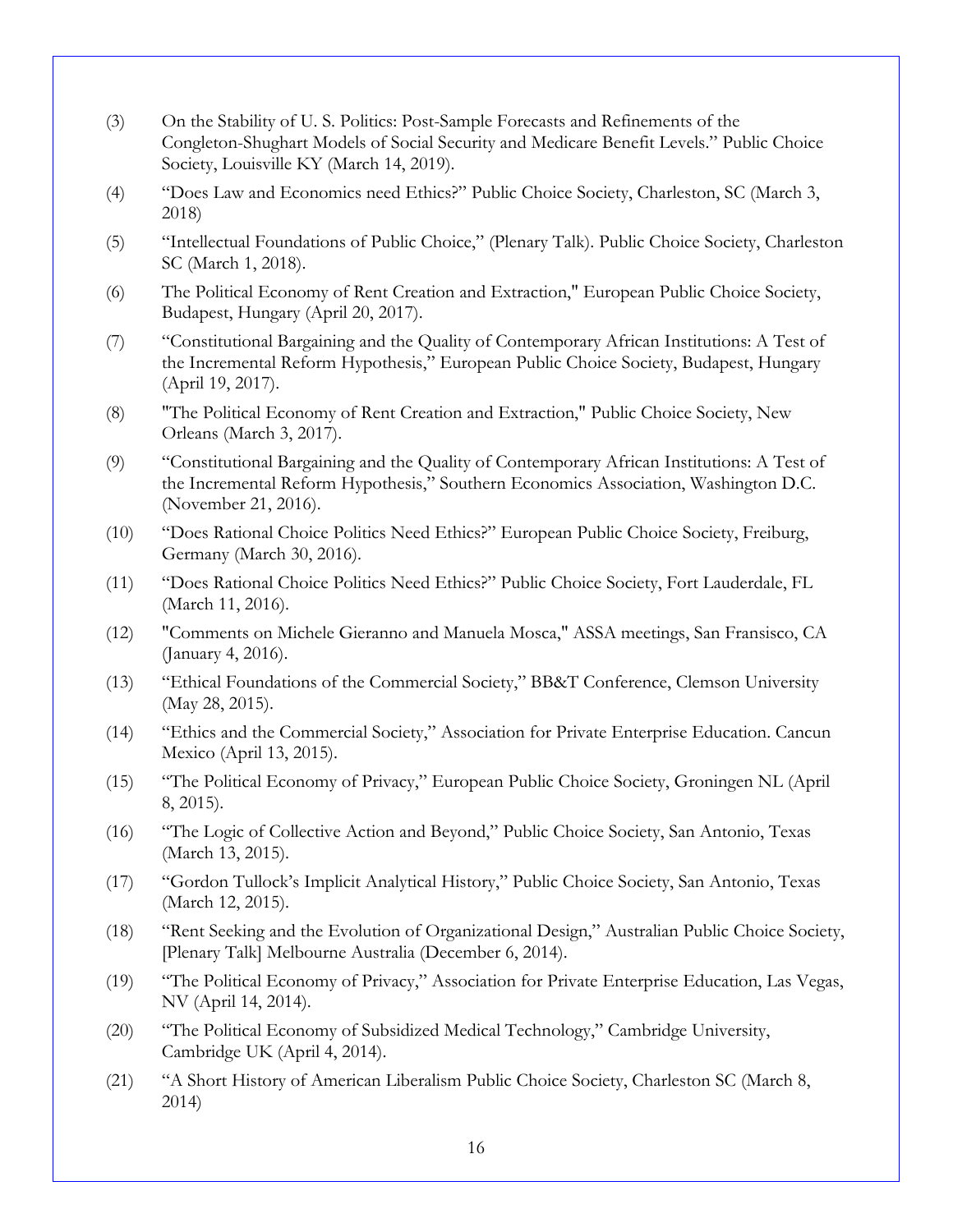- (3) On the Stability of U. S. Politics: Post-Sample Forecasts and Refinements of the Congleton-Shughart Models of Social Security and Medicare Benefit Levels." Public Choice Society, Louisville KY (March 14, 2019).
- (4) "Does Law and Economics need Ethics?" Public Choice Society, Charleston, SC (March 3, 2018)
- (5) "Intellectual Foundations of Public Choice," (Plenary Talk). Public Choice Society, Charleston SC (March 1, 2018).
- (6) The Political Economy of Rent Creation and Extraction," European Public Choice Society, Budapest, Hungary (April 20, 2017).
- (7) "Constitutional Bargaining and the Quality of Contemporary African Institutions: A Test of the Incremental Reform Hypothesis," European Public Choice Society, Budapest, Hungary (April 19, 2017).
- (8) "The Political Economy of Rent Creation and Extraction," Public Choice Society, New Orleans (March 3, 2017).
- (9) "Constitutional Bargaining and the Quality of Contemporary African Institutions: A Test of the Incremental Reform Hypothesis," Southern Economics Association, Washington D.C. (November 21, 2016).
- (10) "Does Rational Choice Politics Need Ethics?" European Public Choice Society, Freiburg, Germany (March 30, 2016).
- (11) "Does Rational Choice Politics Need Ethics?" Public Choice Society, Fort Lauderdale, FL (March 11, 2016).
- (12) "Comments on Michele Gieranno and Manuela Mosca," ASSA meetings, San Fransisco, CA (January 4, 2016).
- (13) "Ethical Foundations of the Commercial Society," BB&T Conference, Clemson University (May 28, 2015).
- (14) "Ethics and the Commercial Society," Association for Private Enterprise Education. Cancun Mexico (April 13, 2015).
- (15) "The Political Economy of Privacy," European Public Choice Society, Groningen NL (April 8, 2015).
- (16) "The Logic of Collective Action and Beyond," Public Choice Society, San Antonio, Texas (March 13, 2015).
- (17) "Gordon Tullock's Implicit Analytical History," Public Choice Society, San Antonio, Texas (March 12, 2015).
- (18) "Rent Seeking and the Evolution of Organizational Design," Australian Public Choice Society, [Plenary Talk] Melbourne Australia (December 6, 2014).
- (19) "The Political Economy of Privacy," Association for Private Enterprise Education, Las Vegas, NV (April 14, 2014).
- (20) "The Political Economy of Subsidized Medical Technology," Cambridge University, Cambridge UK (April 4, 2014).
- (21) "A Short History of American Liberalism Public Choice Society, Charleston SC (March 8, 2014)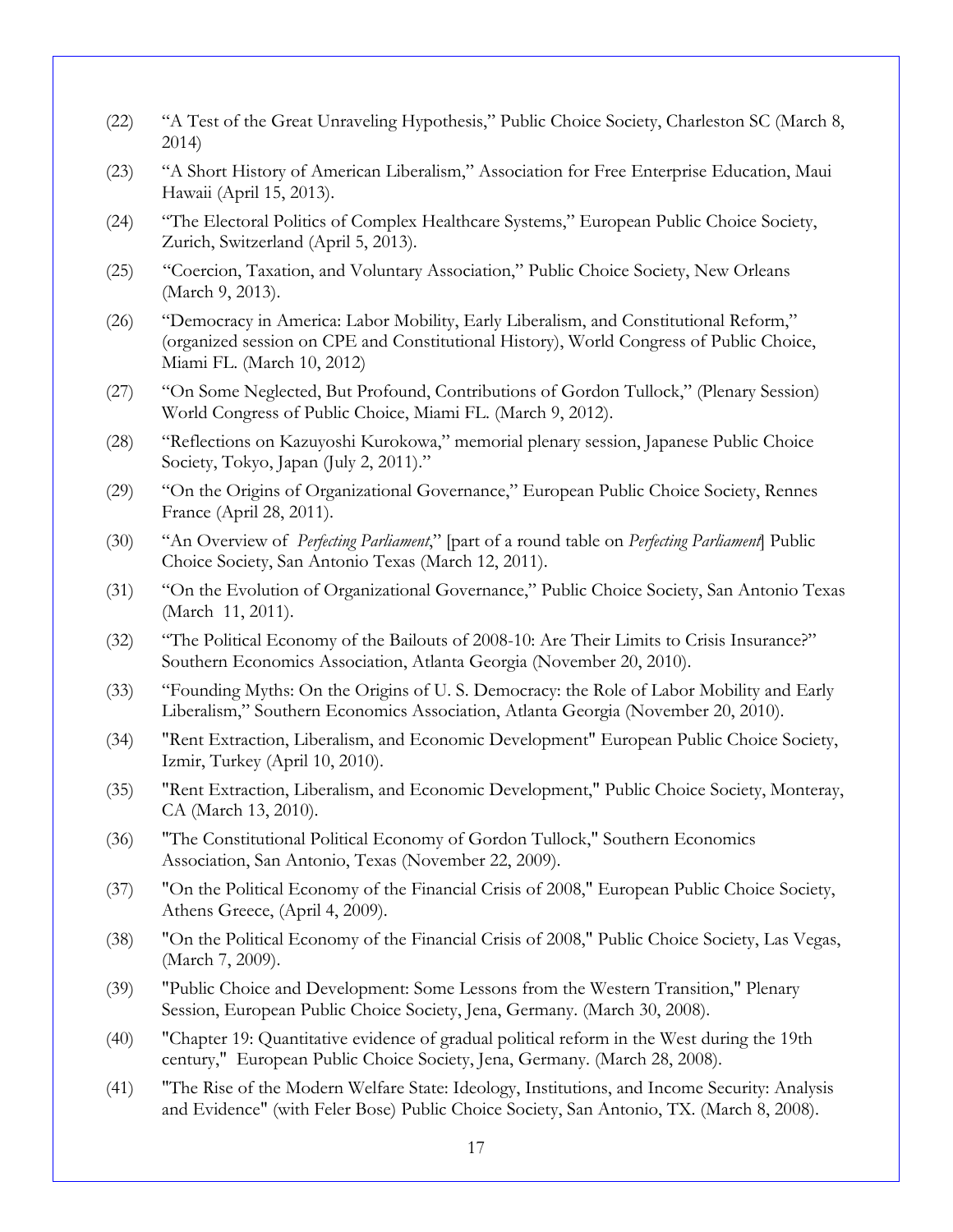- (22) "A Test of the Great Unraveling Hypothesis," Public Choice Society, Charleston SC (March 8, 2014)
- (23) "A Short History of American Liberalism," Association for Free Enterprise Education, Maui Hawaii (April 15, 2013).
- (24) "The Electoral Politics of Complex Healthcare Systems," European Public Choice Society, Zurich, Switzerland (April 5, 2013).
- (25) "Coercion, Taxation, and Voluntary Association," Public Choice Society, New Orleans (March 9, 2013).
- (26) "Democracy in America: Labor Mobility, Early Liberalism, and Constitutional Reform," (organized session on CPE and Constitutional History), World Congress of Public Choice, Miami FL. (March 10, 2012)
- (27) "On Some Neglected, But Profound, Contributions of Gordon Tullock," (Plenary Session) World Congress of Public Choice, Miami FL. (March 9, 2012).
- (28) "Reflections on Kazuyoshi Kurokowa," memorial plenary session, Japanese Public Choice Society, Tokyo, Japan (July 2, 2011)."
- (29) "On the Origins of Organizational Governance," European Public Choice Society, Rennes France (April 28, 2011).
- (30) "An Overview of *Perfecting Parliament*," [part of a round table on *Perfecting Parliament*] Public Choice Society, San Antonio Texas (March 12, 2011).
- (31) "On the Evolution of Organizational Governance," Public Choice Society, San Antonio Texas (March 11, 2011).
- (32) "The Political Economy of the Bailouts of 2008-10: Are Their Limits to Crisis Insurance?" Southern Economics Association, Atlanta Georgia (November 20, 2010).
- (33) "Founding Myths: On the Origins of U. S. Democracy: the Role of Labor Mobility and Early Liberalism," Southern Economics Association, Atlanta Georgia (November 20, 2010).
- (34) "Rent Extraction, Liberalism, and Economic Development" European Public Choice Society, Izmir, Turkey (April 10, 2010).
- (35) "Rent Extraction, Liberalism, and Economic Development," Public Choice Society, Monteray, CA (March 13, 2010).
- (36) "The Constitutional Political Economy of Gordon Tullock," Southern Economics Association, San Antonio, Texas (November 22, 2009).
- (37) "On the Political Economy of the Financial Crisis of 2008," European Public Choice Society, Athens Greece, (April 4, 2009).
- (38) "On the Political Economy of the Financial Crisis of 2008," Public Choice Society, Las Vegas, (March 7, 2009).
- (39) "Public Choice and Development: Some Lessons from the Western Transition," Plenary Session, European Public Choice Society, Jena, Germany. (March 30, 2008).
- (40) "Chapter 19: Quantitative evidence of gradual political reform in the West during the 19th century," European Public Choice Society, Jena, Germany. (March 28, 2008).
- (41) "The Rise of the Modern Welfare State: Ideology, Institutions, and Income Security: Analysis and Evidence" (with Feler Bose) Public Choice Society, San Antonio, TX. (March 8, 2008).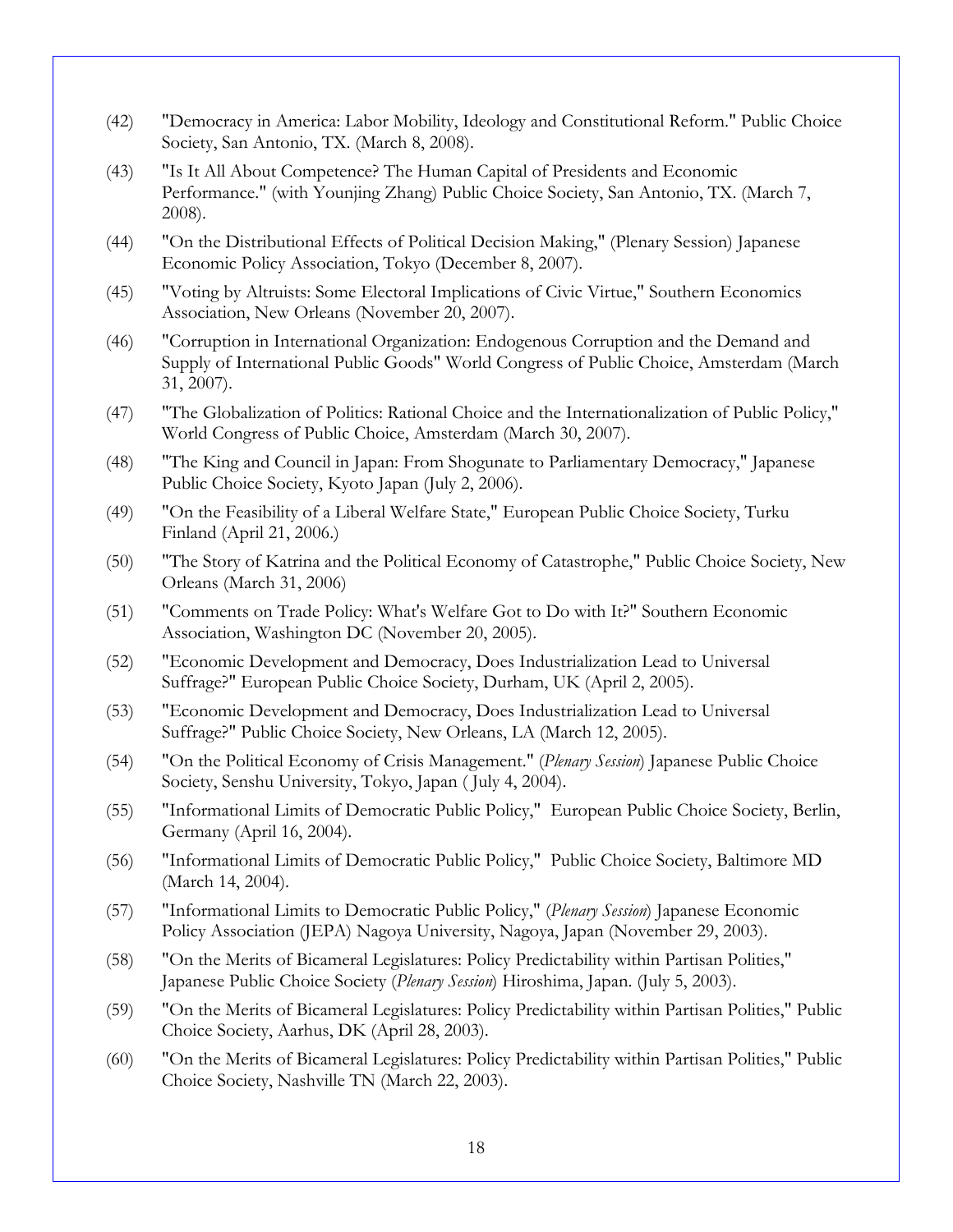- (42) "Democracy in America: Labor Mobility, Ideology and Constitutional Reform." Public Choice Society, San Antonio, TX. (March 8, 2008).
- (43) "Is It All About Competence? The Human Capital of Presidents and Economic Performance." (with Younjing Zhang) Public Choice Society, San Antonio, TX. (March 7, 2008).
- (44) "On the Distributional Effects of Political Decision Making," (Plenary Session) Japanese Economic Policy Association, Tokyo (December 8, 2007).
- (45) "Voting by Altruists: Some Electoral Implications of Civic Virtue," Southern Economics Association, New Orleans (November 20, 2007).
- (46) "Corruption in International Organization: Endogenous Corruption and the Demand and Supply of International Public Goods" World Congress of Public Choice, Amsterdam (March 31, 2007).
- (47) "The Globalization of Politics: Rational Choice and the Internationalization of Public Policy," World Congress of Public Choice, Amsterdam (March 30, 2007).
- (48) "The King and Council in Japan: From Shogunate to Parliamentary Democracy," Japanese Public Choice Society, Kyoto Japan (July 2, 2006).
- (49) "On the Feasibility of a Liberal Welfare State," European Public Choice Society, Turku Finland (April 21, 2006.)
- (50) "The Story of Katrina and the Political Economy of Catastrophe," Public Choice Society, New Orleans (March 31, 2006)
- (51) "Comments on Trade Policy: What's Welfare Got to Do with It?" Southern Economic Association, Washington DC (November 20, 2005).
- (52) "Economic Development and Democracy, Does Industrialization Lead to Universal Suffrage?" European Public Choice Society, Durham, UK (April 2, 2005).
- (53) "Economic Development and Democracy, Does Industrialization Lead to Universal Suffrage?" Public Choice Society, New Orleans, LA (March 12, 2005).
- (54) "On the Political Economy of Crisis Management." (*Plenary Session*) Japanese Public Choice Society, Senshu University, Tokyo, Japan ( July 4, 2004).
- (55) "Informational Limits of Democratic Public Policy," European Public Choice Society, Berlin, Germany (April 16, 2004).
- (56) "Informational Limits of Democratic Public Policy," Public Choice Society, Baltimore MD (March 14, 2004).
- (57) "Informational Limits to Democratic Public Policy," (*Plenary Session*) Japanese Economic Policy Association (JEPA) Nagoya University, Nagoya, Japan (November 29, 2003).
- (58) "On the Merits of Bicameral Legislatures: Policy Predictability within Partisan Polities," Japanese Public Choice Society (*Plenary Session*) Hiroshima, Japan. (July 5, 2003).
- (59) "On the Merits of Bicameral Legislatures: Policy Predictability within Partisan Polities," Public Choice Society, Aarhus, DK (April 28, 2003).
- (60) "On the Merits of Bicameral Legislatures: Policy Predictability within Partisan Polities," Public Choice Society, Nashville TN (March 22, 2003).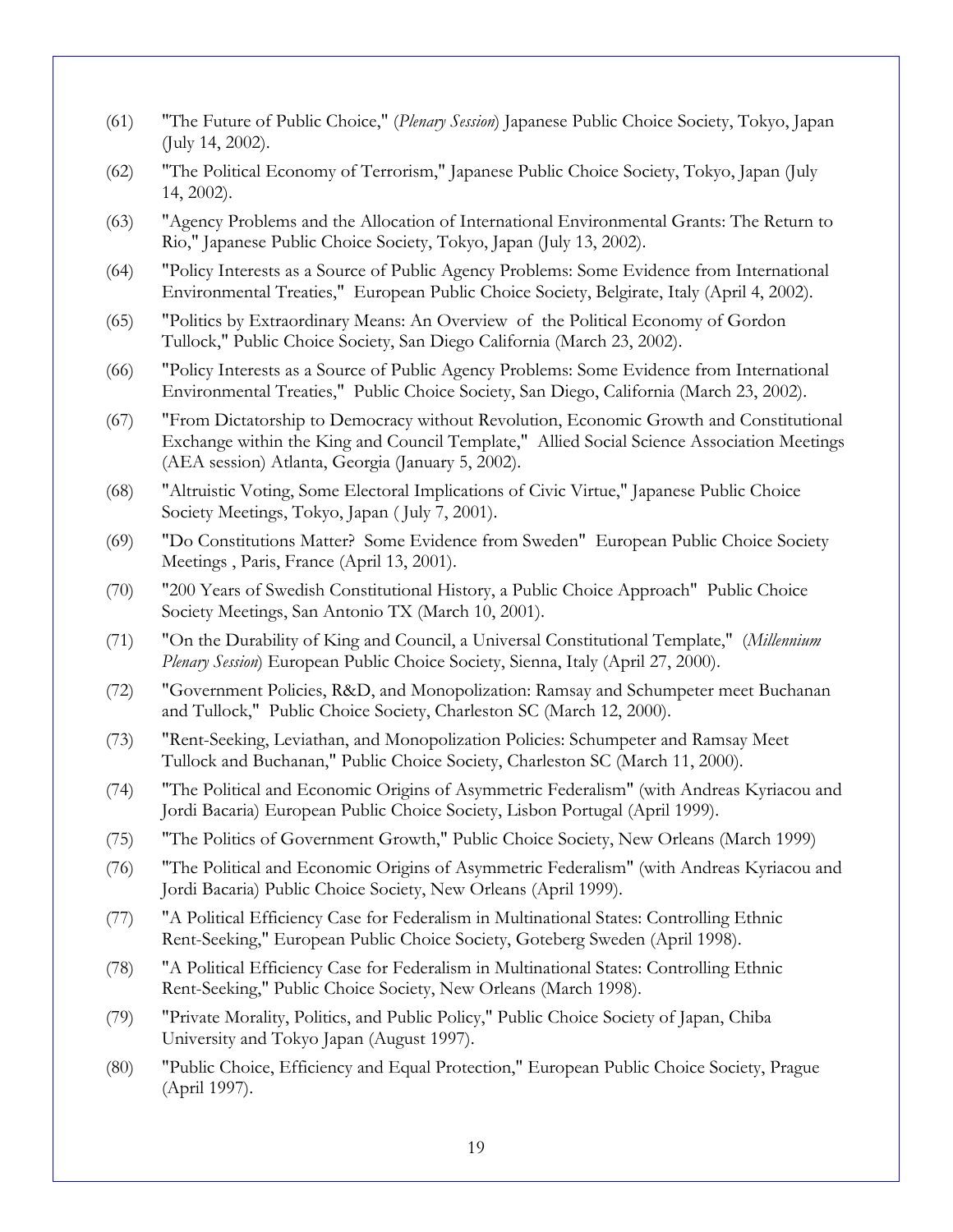- (61) "The Future of Public Choice," (*Plenary Session*) Japanese Public Choice Society, Tokyo, Japan (July 14, 2002).
- (62) "The Political Economy of Terrorism," Japanese Public Choice Society, Tokyo, Japan (July 14, 2002).
- (63) "Agency Problems and the Allocation of International Environmental Grants: The Return to Rio," Japanese Public Choice Society, Tokyo, Japan (July 13, 2002).
- (64) "Policy Interests as a Source of Public Agency Problems: Some Evidence from International Environmental Treaties," European Public Choice Society, Belgirate, Italy (April 4, 2002).
- (65) "Politics by Extraordinary Means: An Overview of the Political Economy of Gordon Tullock," Public Choice Society, San Diego California (March 23, 2002).
- (66) "Policy Interests as a Source of Public Agency Problems: Some Evidence from International Environmental Treaties," Public Choice Society, San Diego, California (March 23, 2002).
- (67) "From Dictatorship to Democracy without Revolution, Economic Growth and Constitutional Exchange within the King and Council Template," Allied Social Science Association Meetings (AEA session) Atlanta, Georgia (January 5, 2002).
- (68) "Altruistic Voting, Some Electoral Implications of Civic Virtue," Japanese Public Choice Society Meetings, Tokyo, Japan ( July 7, 2001).
- (69) "Do Constitutions Matter? Some Evidence from Sweden" European Public Choice Society Meetings , Paris, France (April 13, 2001).
- (70) "200 Years of Swedish Constitutional History, a Public Choice Approach" Public Choice Society Meetings, San Antonio TX (March 10, 2001).
- (71) "On the Durability of King and Council, a Universal Constitutional Template," (*Millennium Plenary Session*) European Public Choice Society, Sienna, Italy (April 27, 2000).
- (72) "Government Policies, R&D, and Monopolization: Ramsay and Schumpeter meet Buchanan and Tullock," Public Choice Society, Charleston SC (March 12, 2000).
- (73) "Rent-Seeking, Leviathan, and Monopolization Policies: Schumpeter and Ramsay Meet Tullock and Buchanan," Public Choice Society, Charleston SC (March 11, 2000).
- (74) "The Political and Economic Origins of Asymmetric Federalism" (with Andreas Kyriacou and Jordi Bacaria) European Public Choice Society, Lisbon Portugal (April 1999).
- (75) "The Politics of Government Growth," Public Choice Society, New Orleans (March 1999)
- (76) "The Political and Economic Origins of Asymmetric Federalism" (with Andreas Kyriacou and Jordi Bacaria) Public Choice Society, New Orleans (April 1999).
- (77) "A Political Efficiency Case for Federalism in Multinational States: Controlling Ethnic Rent-Seeking," European Public Choice Society, Goteberg Sweden (April 1998).
- (78) "A Political Efficiency Case for Federalism in Multinational States: Controlling Ethnic Rent-Seeking," Public Choice Society, New Orleans (March 1998).
- (79) "Private Morality, Politics, and Public Policy," Public Choice Society of Japan, Chiba University and Tokyo Japan (August 1997).
- (80) "Public Choice, Efficiency and Equal Protection," European Public Choice Society, Prague (April 1997).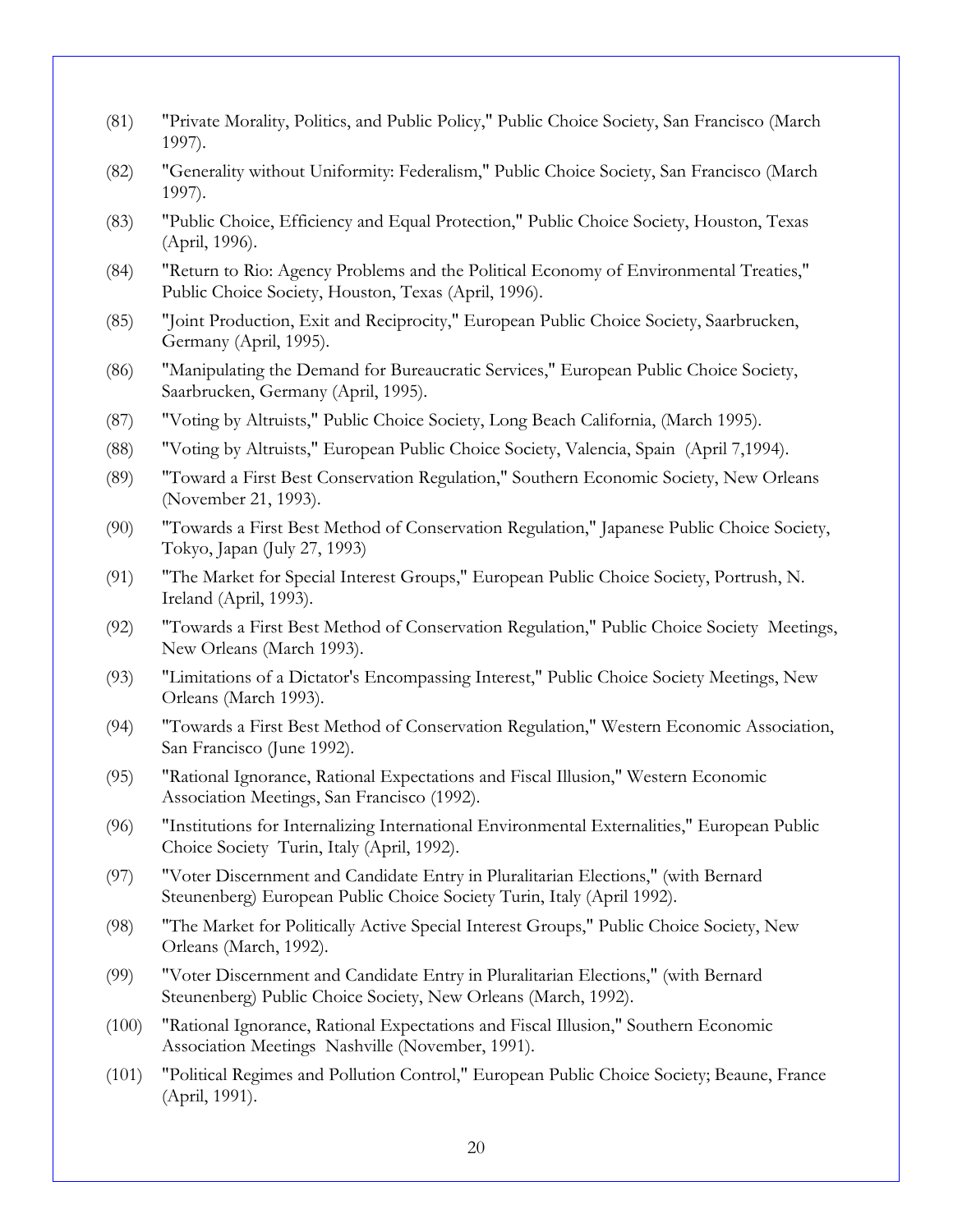- (81) "Private Morality, Politics, and Public Policy," Public Choice Society, San Francisco (March 1997).
- (82) "Generality without Uniformity: Federalism," Public Choice Society, San Francisco (March 1997).
- (83) "Public Choice, Efficiency and Equal Protection," Public Choice Society, Houston, Texas (April, 1996).
- (84) "Return to Rio: Agency Problems and the Political Economy of Environmental Treaties," Public Choice Society, Houston, Texas (April, 1996).
- (85) "Joint Production, Exit and Reciprocity," European Public Choice Society, Saarbrucken, Germany (April, 1995).
- (86) "Manipulating the Demand for Bureaucratic Services," European Public Choice Society, Saarbrucken, Germany (April, 1995).
- (87) "Voting by Altruists," Public Choice Society, Long Beach California, (March 1995).
- (88) "Voting by Altruists," European Public Choice Society, Valencia, Spain (April 7,1994).
- (89) "Toward a First Best Conservation Regulation," Southern Economic Society, New Orleans (November 21, 1993).
- (90) "Towards a First Best Method of Conservation Regulation," Japanese Public Choice Society, Tokyo, Japan (July 27, 1993)
- (91) "The Market for Special Interest Groups," European Public Choice Society, Portrush, N. Ireland (April, 1993).
- (92) "Towards a First Best Method of Conservation Regulation," Public Choice Society Meetings, New Orleans (March 1993).
- (93) "Limitations of a Dictator's Encompassing Interest," Public Choice Society Meetings, New Orleans (March 1993).
- (94) "Towards a First Best Method of Conservation Regulation," Western Economic Association, San Francisco (June 1992).
- (95) "Rational Ignorance, Rational Expectations and Fiscal Illusion," Western Economic Association Meetings, San Francisco (1992).
- (96) "Institutions for Internalizing International Environmental Externalities," European Public Choice Society Turin, Italy (April, 1992).
- (97) "Voter Discernment and Candidate Entry in Pluralitarian Elections," (with Bernard Steunenberg) European Public Choice Society Turin, Italy (April 1992).
- (98) "The Market for Politically Active Special Interest Groups," Public Choice Society, New Orleans (March, 1992).
- (99) "Voter Discernment and Candidate Entry in Pluralitarian Elections," (with Bernard Steunenberg) Public Choice Society, New Orleans (March, 1992).
- (100) "Rational Ignorance, Rational Expectations and Fiscal Illusion," Southern Economic Association Meetings Nashville (November, 1991).
- (101) "Political Regimes and Pollution Control," European Public Choice Society; Beaune, France (April, 1991).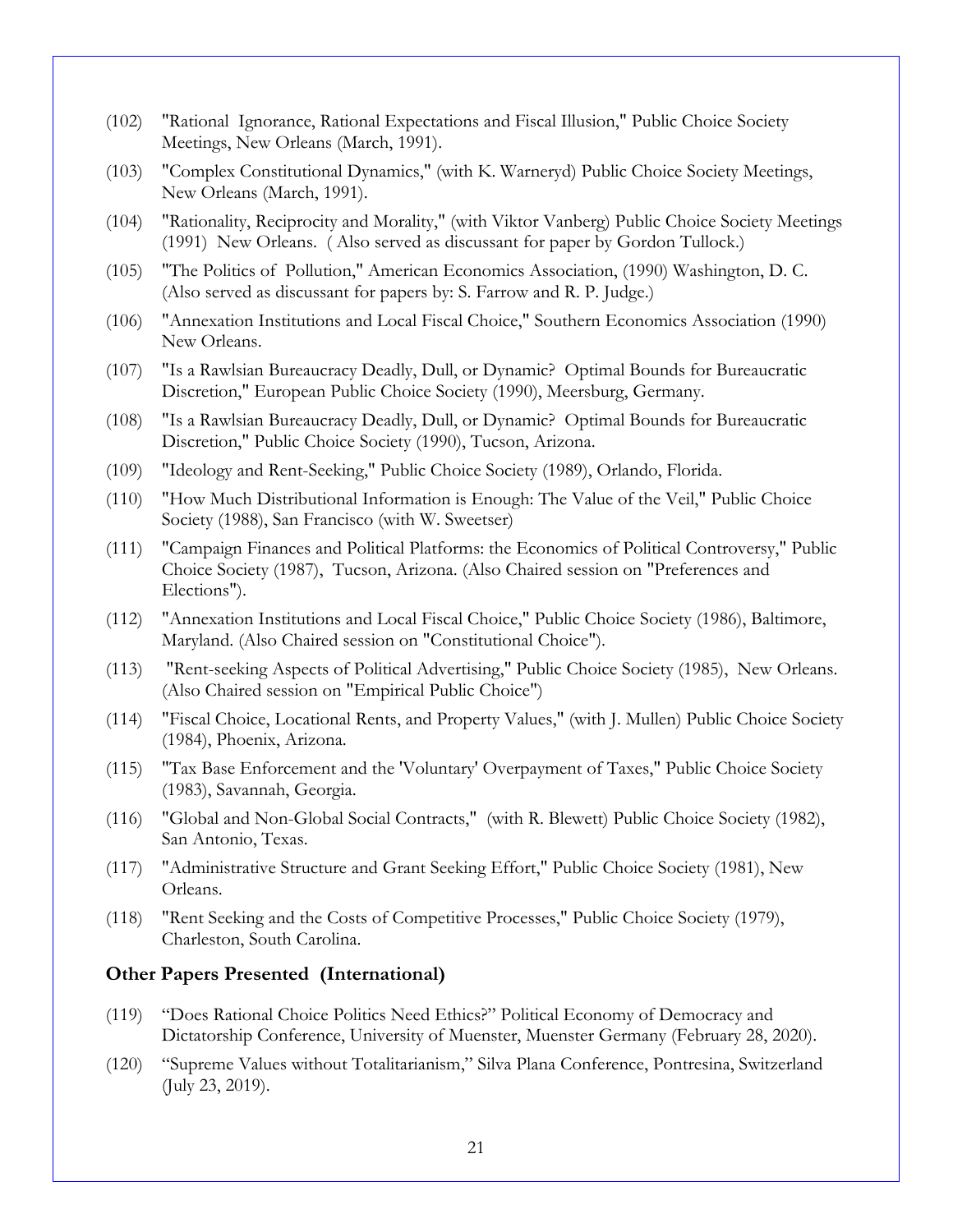- (102) "Rational Ignorance, Rational Expectations and Fiscal Illusion," Public Choice Society Meetings, New Orleans (March, 1991).
- (103) "Complex Constitutional Dynamics," (with K. Warneryd) Public Choice Society Meetings, New Orleans (March, 1991).
- (104) "Rationality, Reciprocity and Morality," (with Viktor Vanberg) Public Choice Society Meetings (1991) New Orleans. ( Also served as discussant for paper by Gordon Tullock.)
- (105) "The Politics of Pollution," American Economics Association, (1990) Washington, D. C. (Also served as discussant for papers by: S. Farrow and R. P. Judge.)
- (106) "Annexation Institutions and Local Fiscal Choice," Southern Economics Association (1990) New Orleans.
- (107) "Is a Rawlsian Bureaucracy Deadly, Dull, or Dynamic? Optimal Bounds for Bureaucratic Discretion," European Public Choice Society (1990), Meersburg, Germany.
- (108) "Is a Rawlsian Bureaucracy Deadly, Dull, or Dynamic? Optimal Bounds for Bureaucratic Discretion," Public Choice Society (1990), Tucson, Arizona.
- (109) "Ideology and Rent-Seeking," Public Choice Society (1989), Orlando, Florida.
- (110) "How Much Distributional Information is Enough: The Value of the Veil," Public Choice Society (1988), San Francisco (with W. Sweetser)
- (111) "Campaign Finances and Political Platforms: the Economics of Political Controversy," Public Choice Society (1987), Tucson, Arizona. (Also Chaired session on "Preferences and Elections").
- (112) "Annexation Institutions and Local Fiscal Choice," Public Choice Society (1986), Baltimore, Maryland. (Also Chaired session on "Constitutional Choice").
- (113) "Rent-seeking Aspects of Political Advertising," Public Choice Society (1985), New Orleans. (Also Chaired session on "Empirical Public Choice")
- (114) "Fiscal Choice, Locational Rents, and Property Values," (with J. Mullen) Public Choice Society (1984), Phoenix, Arizona.
- (115) "Tax Base Enforcement and the 'Voluntary' Overpayment of Taxes," Public Choice Society (1983), Savannah, Georgia.
- (116) "Global and Non-Global Social Contracts," (with R. Blewett) Public Choice Society (1982), San Antonio, Texas.
- (117) "Administrative Structure and Grant Seeking Effort," Public Choice Society (1981), New Orleans.
- (118) "Rent Seeking and the Costs of Competitive Processes," Public Choice Society (1979), Charleston, South Carolina.

### **Other Papers Presented (International)**

- (119) "Does Rational Choice Politics Need Ethics?" Political Economy of Democracy and Dictatorship Conference, University of Muenster, Muenster Germany (February 28, 2020).
- (120) "Supreme Values without Totalitarianism," Silva Plana Conference, Pontresina, Switzerland (July 23, 2019).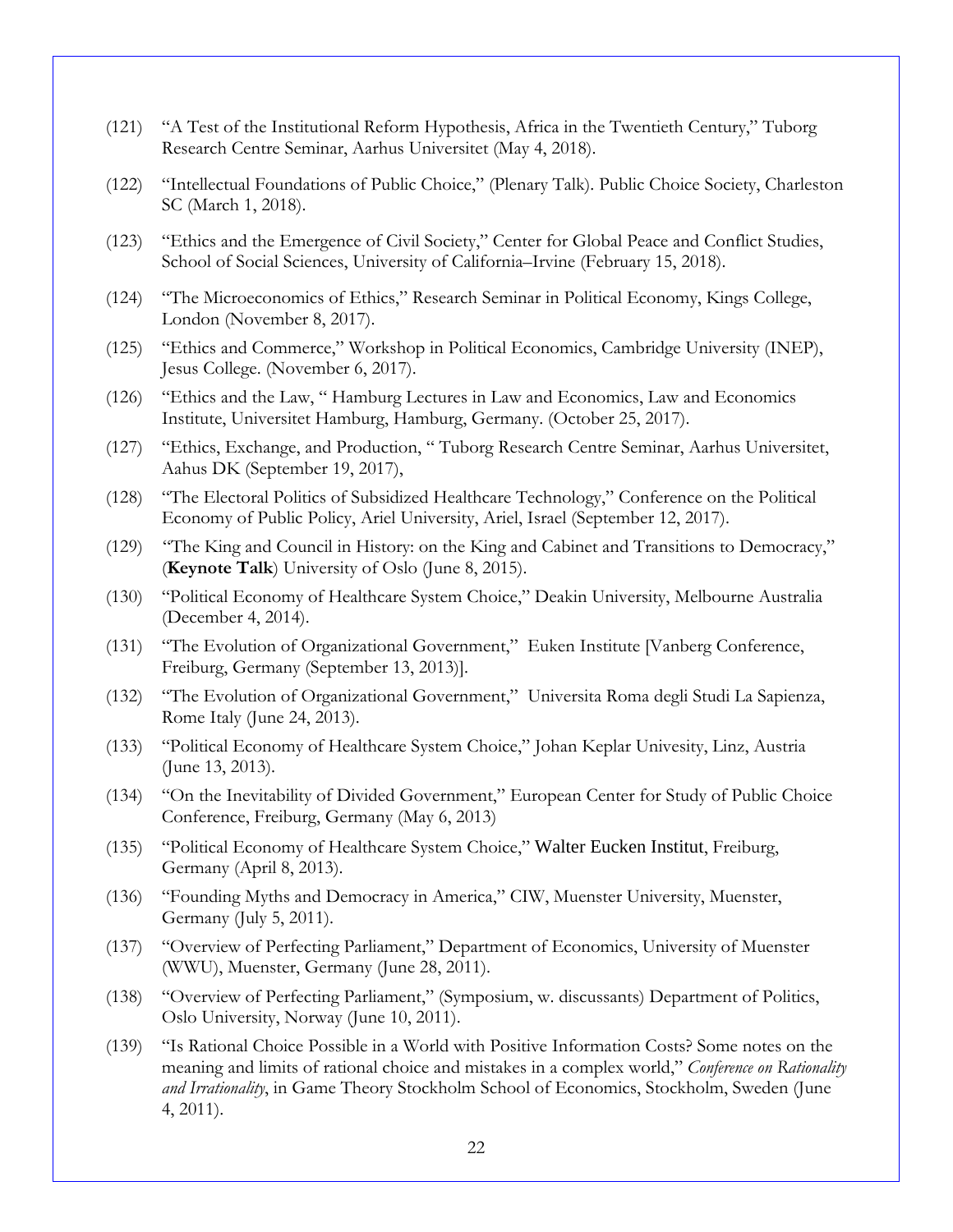- (121) "A Test of the Institutional Reform Hypothesis, Africa in the Twentieth Century," Tuborg Research Centre Seminar, Aarhus Universitet (May 4, 2018).
- (122) "Intellectual Foundations of Public Choice," (Plenary Talk). Public Choice Society, Charleston SC (March 1, 2018).
- (123) "Ethics and the Emergence of Civil Society," Center for Global Peace and Conflict Studies, School of Social Sciences, University of California–Irvine (February 15, 2018).
- (124) "The Microeconomics of Ethics," Research Seminar in Political Economy, Kings College, London (November 8, 2017).
- (125) "Ethics and Commerce," Workshop in Political Economics, Cambridge University (INEP), Jesus College. (November 6, 2017).
- (126) "Ethics and the Law, " Hamburg Lectures in Law and Economics, Law and Economics Institute, Universitet Hamburg, Hamburg, Germany. (October 25, 2017).
- (127) "Ethics, Exchange, and Production, " Tuborg Research Centre Seminar, Aarhus Universitet, Aahus DK (September 19, 2017),
- (128) "The Electoral Politics of Subsidized Healthcare Technology," Conference on the Political Economy of Public Policy, Ariel University, Ariel, Israel (September 12, 2017).
- (129) "The King and Council in History: on the King and Cabinet and Transitions to Democracy," (**Keynote Talk**) University of Oslo (June 8, 2015).
- (130) "Political Economy of Healthcare System Choice," Deakin University, Melbourne Australia (December 4, 2014).
- (131) "The Evolution of Organizational Government," Euken Institute [Vanberg Conference, Freiburg, Germany (September 13, 2013)].
- (132) "The Evolution of Organizational Government," Universita Roma degli Studi La Sapienza, Rome Italy (June 24, 2013).
- (133) "Political Economy of Healthcare System Choice," Johan Keplar Univesity, Linz, Austria (June 13, 2013).
- (134) "On the Inevitability of Divided Government," European Center for Study of Public Choice Conference, Freiburg, Germany (May 6, 2013)
- (135) "Political Economy of Healthcare System Choice," Walter Eucken Institut, Freiburg, Germany (April 8, 2013).
- (136) "Founding Myths and Democracy in America," CIW, Muenster University, Muenster, Germany (July 5, 2011).
- (137) "Overview of Perfecting Parliament," Department of Economics, University of Muenster (WWU), Muenster, Germany (June 28, 2011).
- (138) "Overview of Perfecting Parliament," (Symposium, w. discussants) Department of Politics, Oslo University, Norway (June 10, 2011).
- (139) "Is Rational Choice Possible in a World with Positive Information Costs? Some notes on the meaning and limits of rational choice and mistakes in a complex world," *Conference on Rationality and Irrationality*, in Game Theory Stockholm School of Economics, Stockholm, Sweden (June 4, 2011).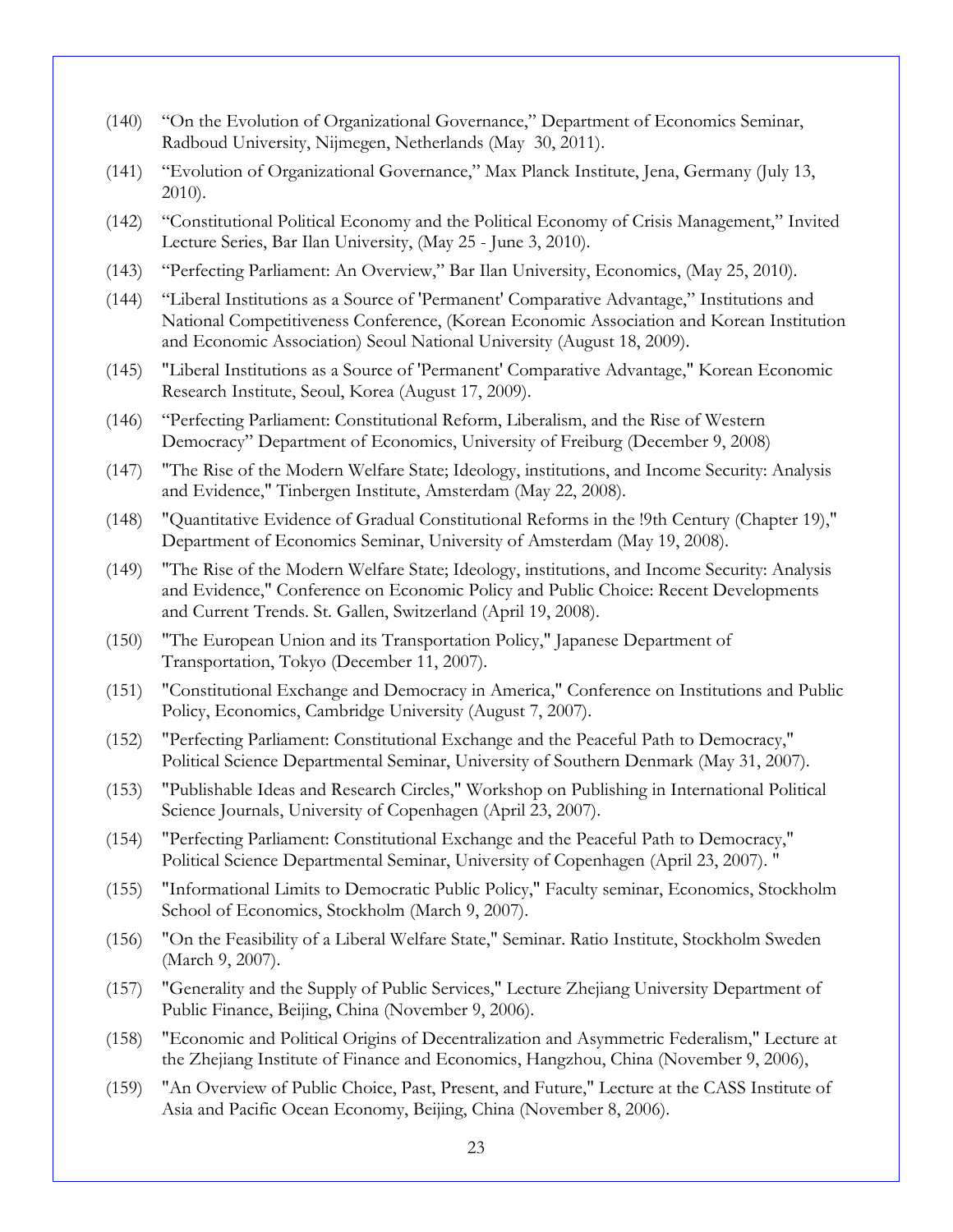- (140) "On the Evolution of Organizational Governance," Department of Economics Seminar, Radboud University, Nijmegen, Netherlands (May 30, 2011).
- (141) "Evolution of Organizational Governance," Max Planck Institute, Jena, Germany (July 13, 2010).
- (142) "Constitutional Political Economy and the Political Economy of Crisis Management," Invited Lecture Series, Bar Ilan University, (May 25 - June 3, 2010).
- (143) "Perfecting Parliament: An Overview," Bar Ilan University, Economics, (May 25, 2010).
- (144) "Liberal Institutions as a Source of 'Permanent' Comparative Advantage," Institutions and National Competitiveness Conference, (Korean Economic Association and Korean Institution and Economic Association) Seoul National University (August 18, 2009).
- (145) "Liberal Institutions as a Source of 'Permanent' Comparative Advantage," Korean Economic Research Institute, Seoul, Korea (August 17, 2009).
- (146) "Perfecting Parliament: Constitutional Reform, Liberalism, and the Rise of Western Democracy" Department of Economics, University of Freiburg (December 9, 2008)
- (147) "The Rise of the Modern Welfare State; Ideology, institutions, and Income Security: Analysis and Evidence," Tinbergen Institute, Amsterdam (May 22, 2008).
- (148) "Quantitative Evidence of Gradual Constitutional Reforms in the !9th Century (Chapter 19)," Department of Economics Seminar, University of Amsterdam (May 19, 2008).
- (149) "The Rise of the Modern Welfare State; Ideology, institutions, and Income Security: Analysis and Evidence," Conference on Economic Policy and Public Choice: Recent Developments and Current Trends. St. Gallen, Switzerland (April 19, 2008).
- (150) "The European Union and its Transportation Policy," Japanese Department of Transportation, Tokyo (December 11, 2007).
- (151) "Constitutional Exchange and Democracy in America," Conference on Institutions and Public Policy, Economics, Cambridge University (August 7, 2007).
- (152) "Perfecting Parliament: Constitutional Exchange and the Peaceful Path to Democracy," Political Science Departmental Seminar, University of Southern Denmark (May 31, 2007).
- (153) "Publishable Ideas and Research Circles," Workshop on Publishing in International Political Science Journals, University of Copenhagen (April 23, 2007).
- (154) "Perfecting Parliament: Constitutional Exchange and the Peaceful Path to Democracy," Political Science Departmental Seminar, University of Copenhagen (April 23, 2007). "
- (155) "Informational Limits to Democratic Public Policy," Faculty seminar, Economics, Stockholm School of Economics, Stockholm (March 9, 2007).
- (156) "On the Feasibility of a Liberal Welfare State," Seminar. Ratio Institute, Stockholm Sweden (March 9, 2007).
- (157) "Generality and the Supply of Public Services," Lecture Zhejiang University Department of Public Finance, Beijing, China (November 9, 2006).
- (158) "Economic and Political Origins of Decentralization and Asymmetric Federalism," Lecture at the Zhejiang Institute of Finance and Economics, Hangzhou, China (November 9, 2006),
- (159) "An Overview of Public Choice, Past, Present, and Future," Lecture at the CASS Institute of Asia and Pacific Ocean Economy, Beijing, China (November 8, 2006).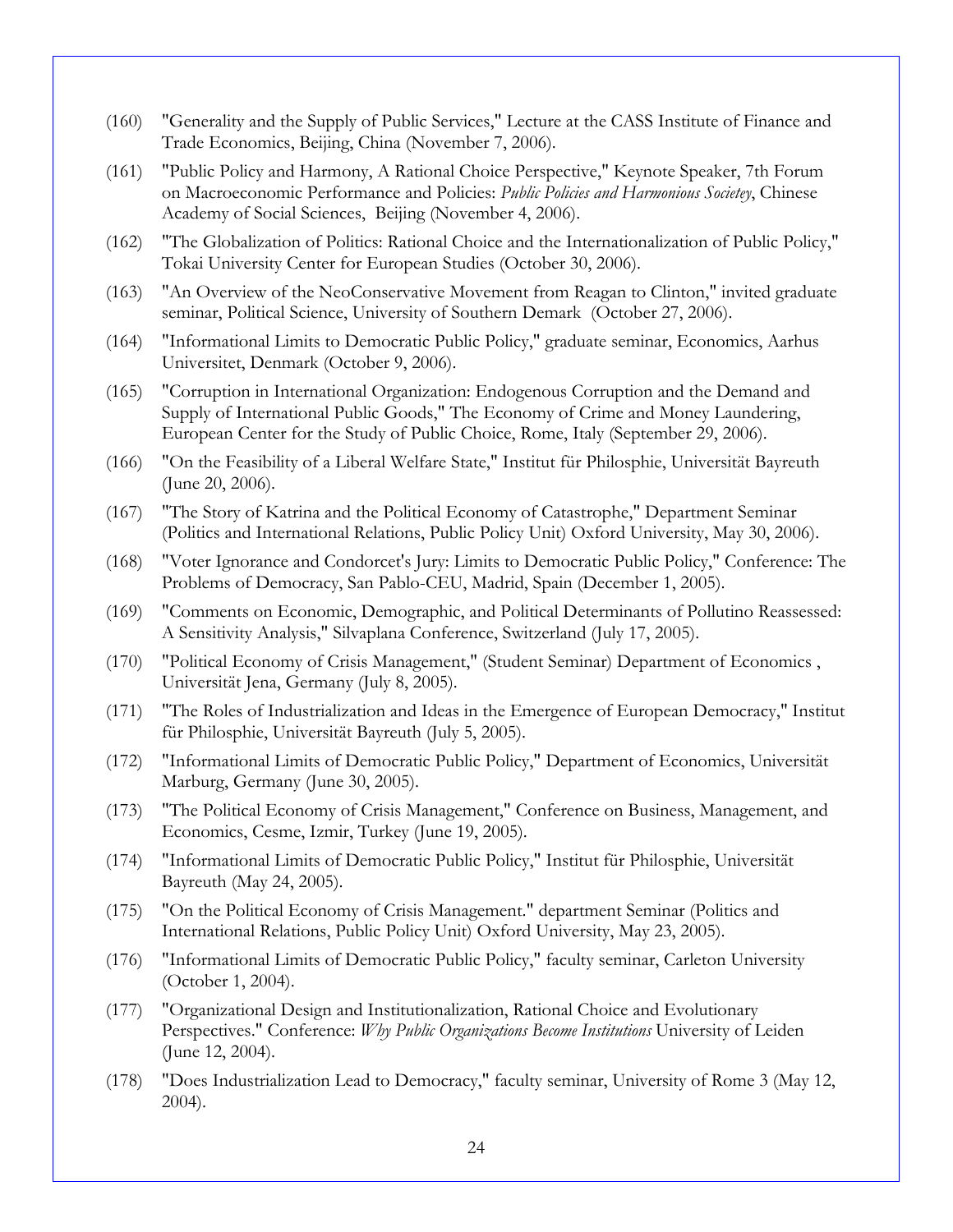- (160) "Generality and the Supply of Public Services," Lecture at the CASS Institute of Finance and Trade Economics, Beijing, China (November 7, 2006).
- (161) "Public Policy and Harmony, A Rational Choice Perspective," Keynote Speaker, 7th Forum on Macroeconomic Performance and Policies: *Public Policies and Harmonious Societey*, Chinese Academy of Social Sciences, Beijing (November 4, 2006).
- (162) "The Globalization of Politics: Rational Choice and the Internationalization of Public Policy," Tokai University Center for European Studies (October 30, 2006).
- (163) "An Overview of the NeoConservative Movement from Reagan to Clinton," invited graduate seminar, Political Science, University of Southern Demark (October 27, 2006).
- (164) "Informational Limits to Democratic Public Policy," graduate seminar, Economics, Aarhus Universitet, Denmark (October 9, 2006).
- (165) "Corruption in International Organization: Endogenous Corruption and the Demand and Supply of International Public Goods," The Economy of Crime and Money Laundering, European Center for the Study of Public Choice, Rome, Italy (September 29, 2006).
- (166) "On the Feasibility of a Liberal Welfare State," Institut für Philosphie, Universität Bayreuth (June 20, 2006).
- (167) "The Story of Katrina and the Political Economy of Catastrophe," Department Seminar (Politics and International Relations, Public Policy Unit) Oxford University, May 30, 2006).
- (168) "Voter Ignorance and Condorcet's Jury: Limits to Democratic Public Policy," Conference: The Problems of Democracy, San Pablo-CEU, Madrid, Spain (December 1, 2005).
- (169) "Comments on Economic, Demographic, and Political Determinants of Pollutino Reassessed: A Sensitivity Analysis," Silvaplana Conference, Switzerland (July 17, 2005).
- (170) "Political Economy of Crisis Management," (Student Seminar) Department of Economics , Universität Jena, Germany (July 8, 2005).
- (171) "The Roles of Industrialization and Ideas in the Emergence of European Democracy," Institut für Philosphie, Universität Bayreuth (July 5, 2005).
- (172) "Informational Limits of Democratic Public Policy," Department of Economics, Universität Marburg, Germany (June 30, 2005).
- (173) "The Political Economy of Crisis Management," Conference on Business, Management, and Economics, Cesme, Izmir, Turkey (June 19, 2005).
- (174) "Informational Limits of Democratic Public Policy," Institut für Philosphie, Universität Bayreuth (May 24, 2005).
- (175) "On the Political Economy of Crisis Management." department Seminar (Politics and International Relations, Public Policy Unit) Oxford University, May 23, 2005).
- (176) "Informational Limits of Democratic Public Policy," faculty seminar, Carleton University (October 1, 2004).
- (177) "Organizational Design and Institutionalization, Rational Choice and Evolutionary Perspectives." Conference: *Why Public Organizations Become Institutions* University of Leiden (June 12, 2004).
- (178) "Does Industrialization Lead to Democracy," faculty seminar, University of Rome 3 (May 12, 2004).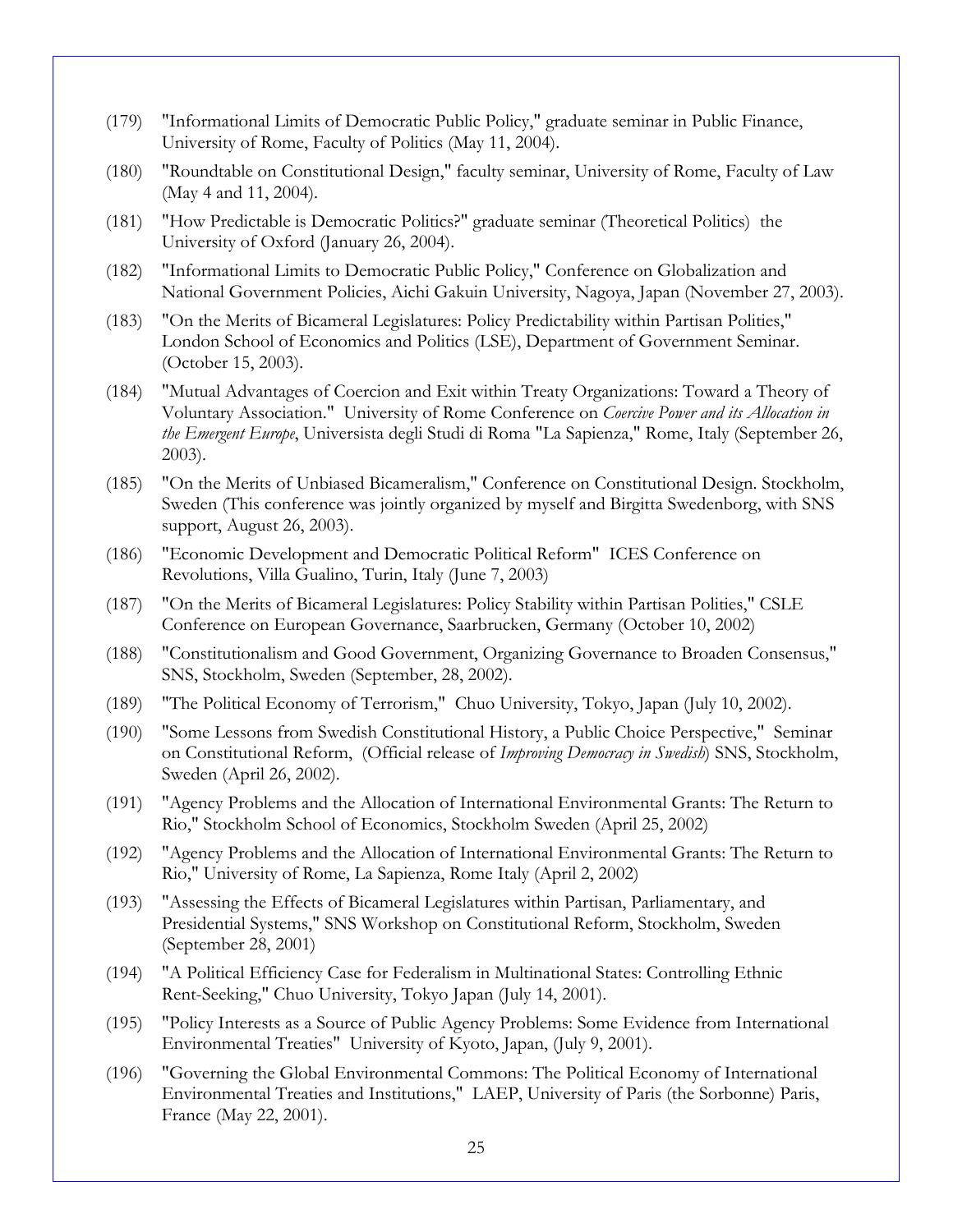- (179) "Informational Limits of Democratic Public Policy," graduate seminar in Public Finance, University of Rome, Faculty of Politics (May 11, 2004).
- (180) "Roundtable on Constitutional Design," faculty seminar, University of Rome, Faculty of Law (May 4 and 11, 2004).
- (181) "How Predictable is Democratic Politics?" graduate seminar (Theoretical Politics) the University of Oxford (January 26, 2004).
- (182) "Informational Limits to Democratic Public Policy," Conference on Globalization and National Government Policies, Aichi Gakuin University, Nagoya, Japan (November 27, 2003).
- (183) "On the Merits of Bicameral Legislatures: Policy Predictability within Partisan Polities," London School of Economics and Politics (LSE), Department of Government Seminar. (October 15, 2003).
- (184) "Mutual Advantages of Coercion and Exit within Treaty Organizations: Toward a Theory of Voluntary Association." University of Rome Conference on *Coercive Power and its Allocation in the Emergent Europe*, Universista degli Studi di Roma "La Sapienza," Rome, Italy (September 26, 2003).
- (185) "On the Merits of Unbiased Bicameralism," Conference on Constitutional Design. Stockholm, Sweden (This conference was jointly organized by myself and Birgitta Swedenborg, with SNS support, August 26, 2003).
- (186) "Economic Development and Democratic Political Reform" ICES Conference on Revolutions, Villa Gualino, Turin, Italy (June 7, 2003)
- (187) "On the Merits of Bicameral Legislatures: Policy Stability within Partisan Polities," CSLE Conference on European Governance, Saarbrucken, Germany (October 10, 2002)
- (188) "Constitutionalism and Good Government, Organizing Governance to Broaden Consensus," SNS, Stockholm, Sweden (September, 28, 2002).
- (189) "The Political Economy of Terrorism," Chuo University, Tokyo, Japan (July 10, 2002).
- (190) "Some Lessons from Swedish Constitutional History, a Public Choice Perspective," Seminar on Constitutional Reform, (Official release of *Improving Democracy in Swedish*) SNS, Stockholm, Sweden (April 26, 2002).
- (191) "Agency Problems and the Allocation of International Environmental Grants: The Return to Rio," Stockholm School of Economics, Stockholm Sweden (April 25, 2002)
- (192) "Agency Problems and the Allocation of International Environmental Grants: The Return to Rio," University of Rome, La Sapienza, Rome Italy (April 2, 2002)
- (193) "Assessing the Effects of Bicameral Legislatures within Partisan, Parliamentary, and Presidential Systems," SNS Workshop on Constitutional Reform, Stockholm, Sweden (September 28, 2001)
- (194) "A Political Efficiency Case for Federalism in Multinational States: Controlling Ethnic Rent-Seeking," Chuo University, Tokyo Japan (July 14, 2001).
- (195) "Policy Interests as a Source of Public Agency Problems: Some Evidence from International Environmental Treaties" University of Kyoto, Japan, (July 9, 2001).
- (196) "Governing the Global Environmental Commons: The Political Economy of International Environmental Treaties and Institutions," LAEP, University of Paris (the Sorbonne) Paris, France (May 22, 2001).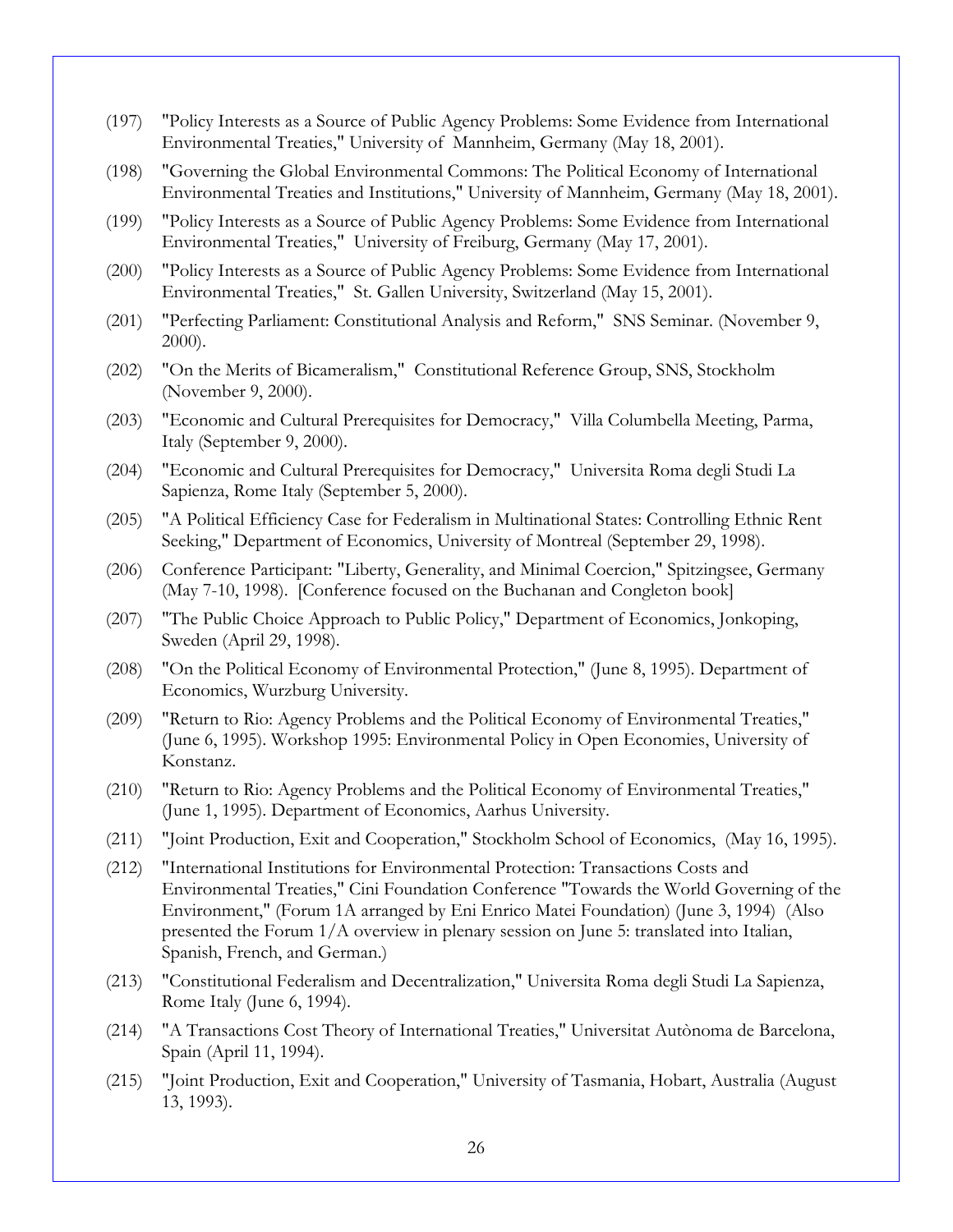- (197) "Policy Interests as a Source of Public Agency Problems: Some Evidence from International Environmental Treaties," University of Mannheim, Germany (May 18, 2001).
- (198) "Governing the Global Environmental Commons: The Political Economy of International Environmental Treaties and Institutions," University of Mannheim, Germany (May 18, 2001).
- (199) "Policy Interests as a Source of Public Agency Problems: Some Evidence from International Environmental Treaties," University of Freiburg, Germany (May 17, 2001).
- (200) "Policy Interests as a Source of Public Agency Problems: Some Evidence from International Environmental Treaties," St. Gallen University, Switzerland (May 15, 2001).
- (201) "Perfecting Parliament: Constitutional Analysis and Reform," SNS Seminar. (November 9, 2000).
- (202) "On the Merits of Bicameralism," Constitutional Reference Group, SNS, Stockholm (November 9, 2000).
- (203) "Economic and Cultural Prerequisites for Democracy," Villa Columbella Meeting, Parma, Italy (September 9, 2000).
- (204) "Economic and Cultural Prerequisites for Democracy," Universita Roma degli Studi La Sapienza, Rome Italy (September 5, 2000).
- (205) "A Political Efficiency Case for Federalism in Multinational States: Controlling Ethnic Rent Seeking," Department of Economics, University of Montreal (September 29, 1998).
- (206) Conference Participant: "Liberty, Generality, and Minimal Coercion," Spitzingsee, Germany (May 7-10, 1998). [Conference focused on the Buchanan and Congleton book]
- (207) "The Public Choice Approach to Public Policy," Department of Economics, Jonkoping, Sweden (April 29, 1998).
- (208) "On the Political Economy of Environmental Protection," (June 8, 1995). Department of Economics, Wurzburg University.
- (209) "Return to Rio: Agency Problems and the Political Economy of Environmental Treaties," (June 6, 1995). Workshop 1995: Environmental Policy in Open Economies, University of Konstanz.
- (210) "Return to Rio: Agency Problems and the Political Economy of Environmental Treaties," (June 1, 1995). Department of Economics, Aarhus University.
- (211) "Joint Production, Exit and Cooperation," Stockholm School of Economics, (May 16, 1995).
- (212) "International Institutions for Environmental Protection: Transactions Costs and Environmental Treaties," Cini Foundation Conference "Towards the World Governing of the Environment," (Forum 1A arranged by Eni Enrico Matei Foundation) (June 3, 1994) (Also presented the Forum 1/A overview in plenary session on June 5: translated into Italian, Spanish, French, and German.)
- (213) "Constitutional Federalism and Decentralization," Universita Roma degli Studi La Sapienza, Rome Italy (June 6, 1994).
- (214) "A Transactions Cost Theory of International Treaties," Universitat Autònoma de Barcelona, Spain (April 11, 1994).
- (215) "Joint Production, Exit and Cooperation," University of Tasmania, Hobart, Australia (August 13, 1993).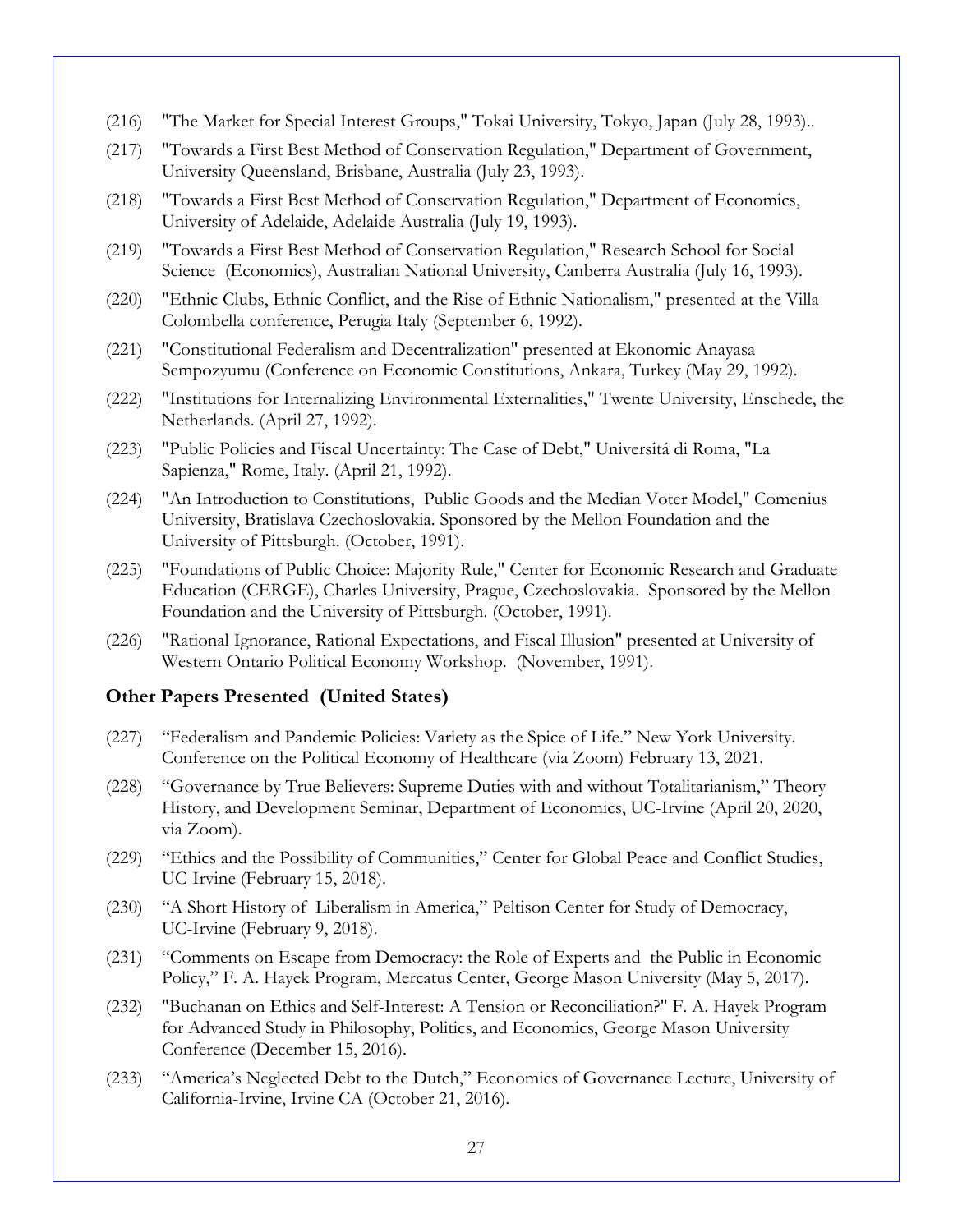- (216) "The Market for Special Interest Groups," Tokai University, Tokyo, Japan (July 28, 1993)..
- (217) "Towards a First Best Method of Conservation Regulation," Department of Government, University Queensland, Brisbane, Australia (July 23, 1993).
- (218) "Towards a First Best Method of Conservation Regulation," Department of Economics, University of Adelaide, Adelaide Australia (July 19, 1993).
- (219) "Towards a First Best Method of Conservation Regulation," Research School for Social Science (Economics), Australian National University, Canberra Australia (July 16, 1993).
- (220) "Ethnic Clubs, Ethnic Conflict, and the Rise of Ethnic Nationalism," presented at the Villa Colombella conference, Perugia Italy (September 6, 1992).
- (221) "Constitutional Federalism and Decentralization" presented at Ekonomic Anayasa Sempozyumu (Conference on Economic Constitutions, Ankara, Turkey (May 29, 1992).
- (222) "Institutions for Internalizing Environmental Externalities," Twente University, Enschede, the Netherlands. (April 27, 1992).
- (223) "Public Policies and Fiscal Uncertainty: The Case of Debt," Universitá di Roma, "La Sapienza," Rome, Italy. (April 21, 1992).
- (224) "An Introduction to Constitutions, Public Goods and the Median Voter Model," Comenius University, Bratislava Czechoslovakia. Sponsored by the Mellon Foundation and the University of Pittsburgh. (October, 1991).
- (225) "Foundations of Public Choice: Majority Rule," Center for Economic Research and Graduate Education (CERGE), Charles University, Prague, Czechoslovakia. Sponsored by the Mellon Foundation and the University of Pittsburgh. (October, 1991).
- (226) "Rational Ignorance, Rational Expectations, and Fiscal Illusion" presented at University of Western Ontario Political Economy Workshop. (November, 1991).

### **Other Papers Presented (United States)**

- (227) "Federalism and Pandemic Policies: Variety as the Spice of Life." New York University. Conference on the Political Economy of Healthcare (via Zoom) February 13, 2021.
- (228) "Governance by True Believers: Supreme Duties with and without Totalitarianism," Theory History, and Development Seminar, Department of Economics, UC-Irvine (April 20, 2020, via Zoom).
- (229) "Ethics and the Possibility of Communities," Center for Global Peace and Conflict Studies, UC-Irvine (February 15, 2018).
- (230) "A Short History of Liberalism in America," Peltison Center for Study of Democracy, UC-Irvine (February 9, 2018).
- (231) "Comments on Escape from Democracy: the Role of Experts and the Public in Economic Policy," F. A. Hayek Program, Mercatus Center, George Mason University (May 5, 2017).
- (232) "Buchanan on Ethics and Self-Interest: A Tension or Reconciliation?" F. A. Hayek Program for Advanced Study in Philosophy, Politics, and Economics, George Mason University Conference (December 15, 2016).
- (233) "America's Neglected Debt to the Dutch," Economics of Governance Lecture, University of California-Irvine, Irvine CA (October 21, 2016).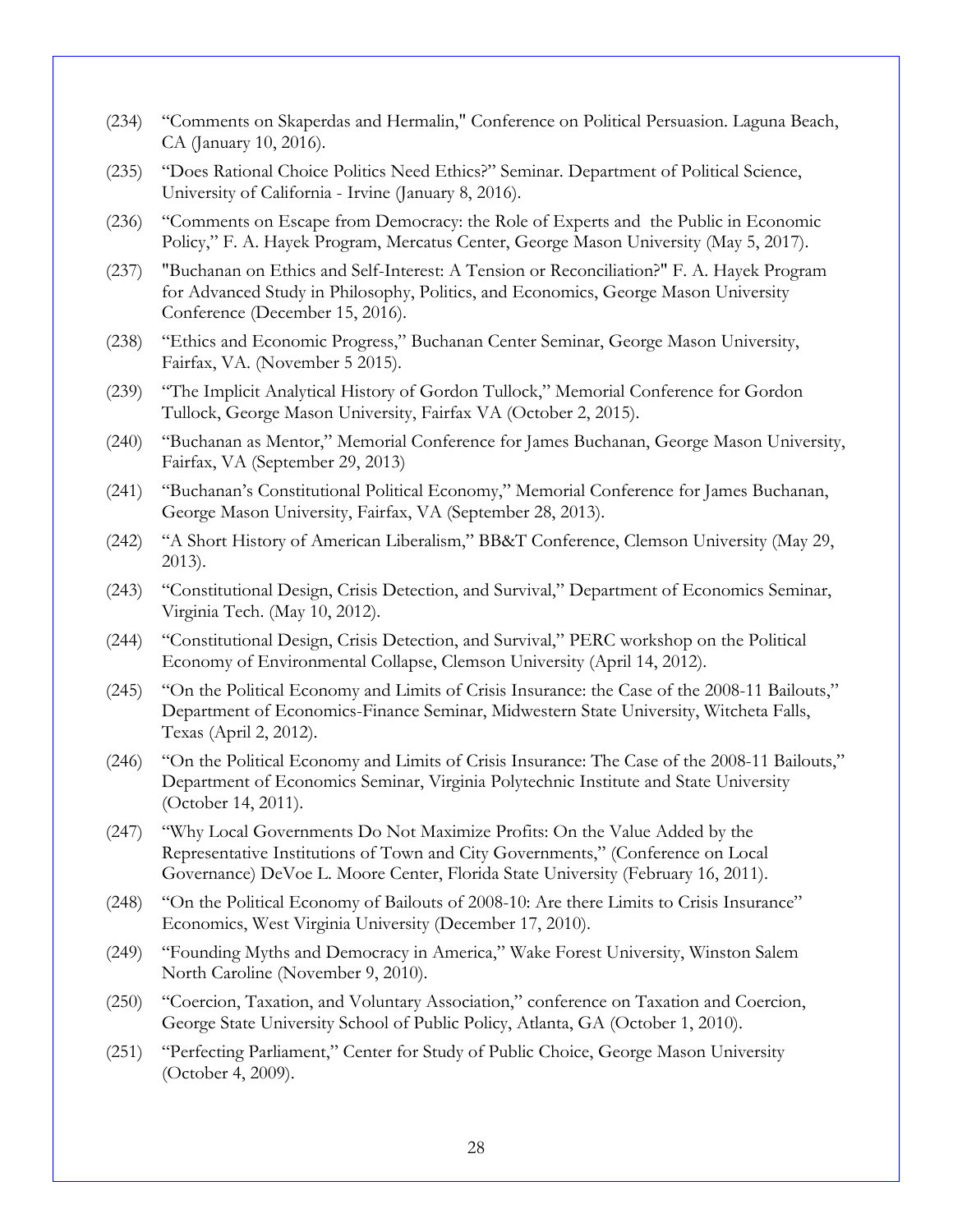- (234) "Comments on Skaperdas and Hermalin," Conference on Political Persuasion. Laguna Beach, CA (January 10, 2016).
- (235) "Does Rational Choice Politics Need Ethics?" Seminar. Department of Political Science, University of California - Irvine (January 8, 2016).
- (236) "Comments on Escape from Democracy: the Role of Experts and the Public in Economic Policy," F. A. Hayek Program, Mercatus Center, George Mason University (May 5, 2017).
- (237) "Buchanan on Ethics and Self-Interest: A Tension or Reconciliation?" F. A. Hayek Program for Advanced Study in Philosophy, Politics, and Economics, George Mason University Conference (December 15, 2016).
- (238) "Ethics and Economic Progress," Buchanan Center Seminar, George Mason University, Fairfax, VA. (November 5 2015).
- (239) "The Implicit Analytical History of Gordon Tullock," Memorial Conference for Gordon Tullock, George Mason University, Fairfax VA (October 2, 2015).
- (240) "Buchanan as Mentor," Memorial Conference for James Buchanan, George Mason University, Fairfax, VA (September 29, 2013)
- (241) "Buchanan's Constitutional Political Economy," Memorial Conference for James Buchanan, George Mason University, Fairfax, VA (September 28, 2013).
- (242) "A Short History of American Liberalism," BB&T Conference, Clemson University (May 29, 2013).
- (243) "Constitutional Design, Crisis Detection, and Survival," Department of Economics Seminar, Virginia Tech. (May 10, 2012).
- (244) "Constitutional Design, Crisis Detection, and Survival," PERC workshop on the Political Economy of Environmental Collapse, Clemson University (April 14, 2012).
- (245) "On the Political Economy and Limits of Crisis Insurance: the Case of the 2008-11 Bailouts," Department of Economics-Finance Seminar, Midwestern State University, Witcheta Falls, Texas (April 2, 2012).
- (246) "On the Political Economy and Limits of Crisis Insurance: The Case of the 2008-11 Bailouts," Department of Economics Seminar, Virginia Polytechnic Institute and State University (October 14, 2011).
- (247) "Why Local Governments Do Not Maximize Profits: On the Value Added by the Representative Institutions of Town and City Governments," (Conference on Local Governance) DeVoe L. Moore Center, Florida State University (February 16, 2011).
- (248) "On the Political Economy of Bailouts of 2008-10: Are there Limits to Crisis Insurance" Economics, West Virginia University (December 17, 2010).
- (249) "Founding Myths and Democracy in America," Wake Forest University, Winston Salem North Caroline (November 9, 2010).
- (250) "Coercion, Taxation, and Voluntary Association," conference on Taxation and Coercion, George State University School of Public Policy, Atlanta, GA (October 1, 2010).
- (251) "Perfecting Parliament," Center for Study of Public Choice, George Mason University (October 4, 2009).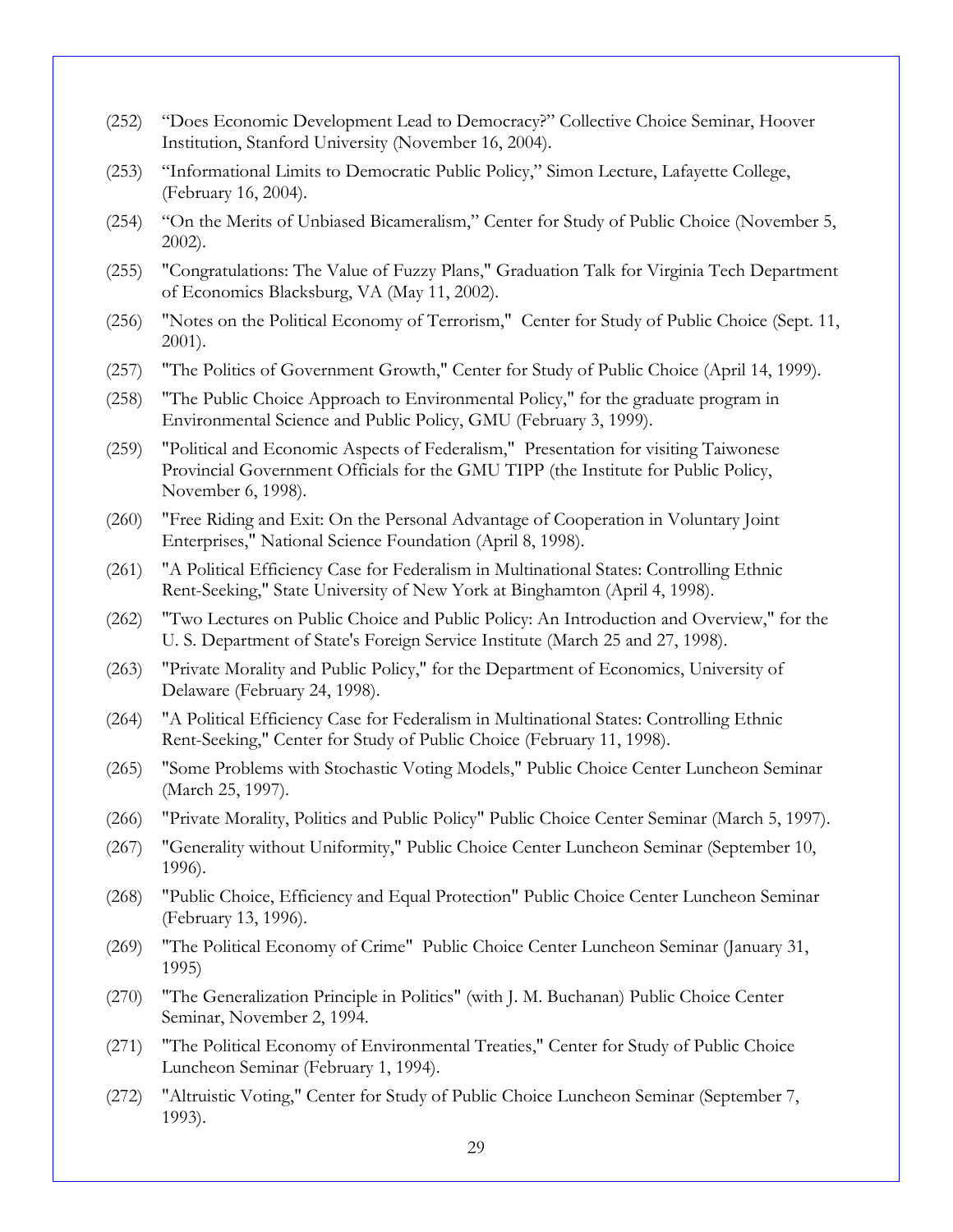- (252) "Does Economic Development Lead to Democracy?" Collective Choice Seminar, Hoover Institution, Stanford University (November 16, 2004).
- (253) "Informational Limits to Democratic Public Policy," Simon Lecture, Lafayette College, (February 16, 2004).
- (254) "On the Merits of Unbiased Bicameralism," Center for Study of Public Choice (November 5, 2002).
- (255) "Congratulations: The Value of Fuzzy Plans," Graduation Talk for Virginia Tech Department of Economics Blacksburg, VA (May 11, 2002).
- (256) "Notes on the Political Economy of Terrorism," Center for Study of Public Choice (Sept. 11, 2001).
- (257) "The Politics of Government Growth," Center for Study of Public Choice (April 14, 1999).
- (258) "The Public Choice Approach to Environmental Policy," for the graduate program in Environmental Science and Public Policy, GMU (February 3, 1999).
- (259) "Political and Economic Aspects of Federalism," Presentation for visiting Taiwonese Provincial Government Officials for the GMU TIPP (the Institute for Public Policy, November 6, 1998).
- (260) "Free Riding and Exit: On the Personal Advantage of Cooperation in Voluntary Joint Enterprises," National Science Foundation (April 8, 1998).
- (261) "A Political Efficiency Case for Federalism in Multinational States: Controlling Ethnic Rent-Seeking," State University of New York at Binghamton (April 4, 1998).
- (262) "Two Lectures on Public Choice and Public Policy: An Introduction and Overview," for the U. S. Department of State's Foreign Service Institute (March 25 and 27, 1998).
- (263) "Private Morality and Public Policy," for the Department of Economics, University of Delaware (February 24, 1998).
- (264) "A Political Efficiency Case for Federalism in Multinational States: Controlling Ethnic Rent-Seeking," Center for Study of Public Choice (February 11, 1998).
- (265) "Some Problems with Stochastic Voting Models," Public Choice Center Luncheon Seminar (March 25, 1997).
- (266) "Private Morality, Politics and Public Policy" Public Choice Center Seminar (March 5, 1997).
- (267) "Generality without Uniformity," Public Choice Center Luncheon Seminar (September 10, 1996).
- (268) "Public Choice, Efficiency and Equal Protection" Public Choice Center Luncheon Seminar (February 13, 1996).
- (269) "The Political Economy of Crime" Public Choice Center Luncheon Seminar (January 31, 1995)
- (270) "The Generalization Principle in Politics" (with J. M. Buchanan) Public Choice Center Seminar, November 2, 1994.
- (271) "The Political Economy of Environmental Treaties," Center for Study of Public Choice Luncheon Seminar (February 1, 1994).
- (272) "Altruistic Voting," Center for Study of Public Choice Luncheon Seminar (September 7, 1993).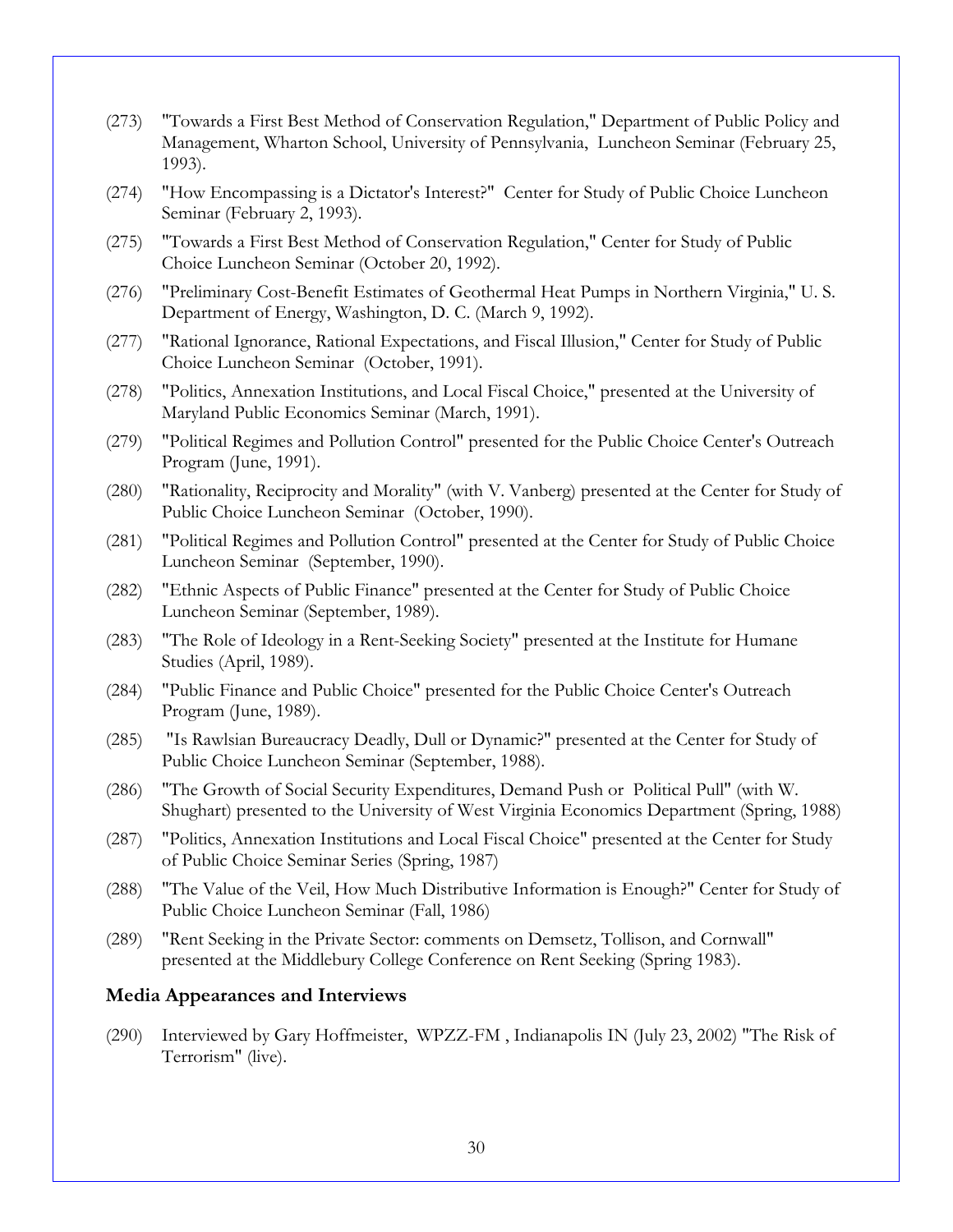- (273) "Towards a First Best Method of Conservation Regulation," Department of Public Policy and Management, Wharton School, University of Pennsylvania, Luncheon Seminar (February 25, 1993).
- (274) "How Encompassing is a Dictator's Interest?" Center for Study of Public Choice Luncheon Seminar (February 2, 1993).
- (275) "Towards a First Best Method of Conservation Regulation," Center for Study of Public Choice Luncheon Seminar (October 20, 1992).
- (276) "Preliminary Cost-Benefit Estimates of Geothermal Heat Pumps in Northern Virginia," U. S. Department of Energy, Washington, D. C. (March 9, 1992).
- (277) "Rational Ignorance, Rational Expectations, and Fiscal Illusion," Center for Study of Public Choice Luncheon Seminar (October, 1991).
- (278) "Politics, Annexation Institutions, and Local Fiscal Choice," presented at the University of Maryland Public Economics Seminar (March, 1991).
- (279) "Political Regimes and Pollution Control" presented for the Public Choice Center's Outreach Program (June, 1991).
- (280) "Rationality, Reciprocity and Morality" (with V. Vanberg) presented at the Center for Study of Public Choice Luncheon Seminar (October, 1990).
- (281) "Political Regimes and Pollution Control" presented at the Center for Study of Public Choice Luncheon Seminar (September, 1990).
- (282) "Ethnic Aspects of Public Finance" presented at the Center for Study of Public Choice Luncheon Seminar (September, 1989).
- (283) "The Role of Ideology in a Rent-Seeking Society" presented at the Institute for Humane Studies (April, 1989).
- (284) "Public Finance and Public Choice" presented for the Public Choice Center's Outreach Program (June, 1989).
- (285) "Is Rawlsian Bureaucracy Deadly, Dull or Dynamic?" presented at the Center for Study of Public Choice Luncheon Seminar (September, 1988).
- (286) "The Growth of Social Security Expenditures, Demand Push or Political Pull" (with W. Shughart) presented to the University of West Virginia Economics Department (Spring, 1988)
- (287) "Politics, Annexation Institutions and Local Fiscal Choice" presented at the Center for Study of Public Choice Seminar Series (Spring, 1987)
- (288) "The Value of the Veil, How Much Distributive Information is Enough?" Center for Study of Public Choice Luncheon Seminar (Fall, 1986)
- (289) "Rent Seeking in the Private Sector: comments on Demsetz, Tollison, and Cornwall" presented at the Middlebury College Conference on Rent Seeking (Spring 1983).

### **Media Appearances and Interviews**

(290) Interviewed by Gary Hoffmeister, WPZZ-FM , Indianapolis IN (July 23, 2002) "The Risk of Terrorism" (live).